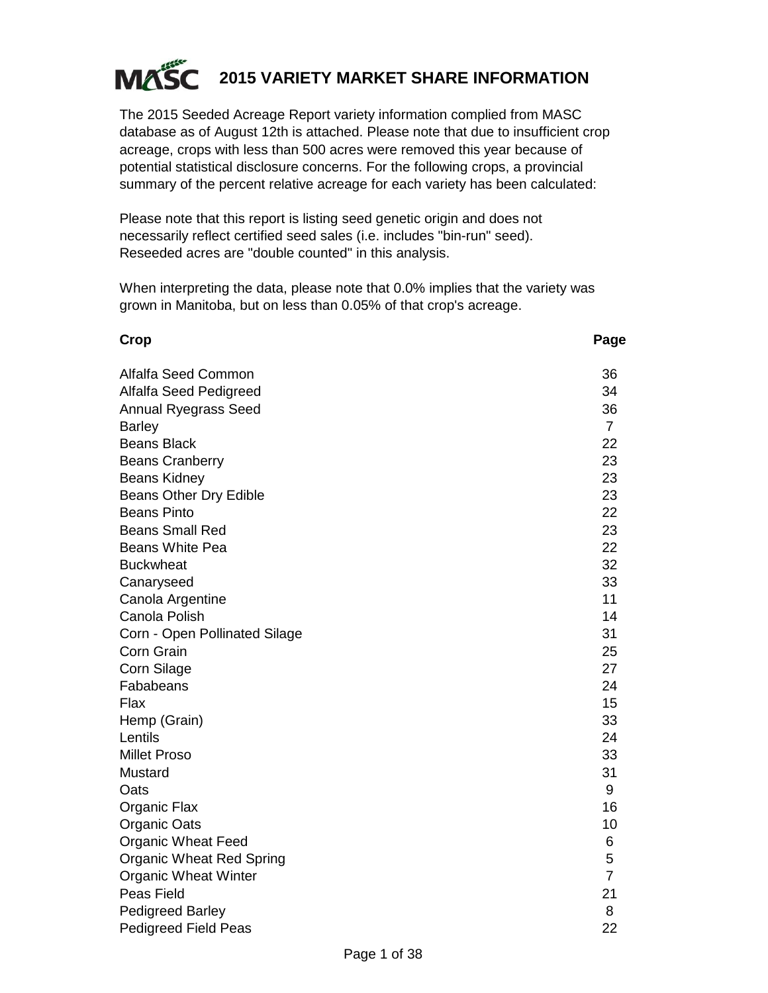

The 2015 Seeded Acreage Report variety information complied from MASC database as of August 12th is attached. Please note that due to insufficient crop acreage, crops with less than 500 acres were removed this year because of potential statistical disclosure concerns. For the following crops, a provincial summary of the percent relative acreage for each variety has been calculated:

Please note that this report is listing seed genetic origin and does not necessarily reflect certified seed sales (i.e. includes "bin-run" seed). Reseeded acres are "double counted" in this analysis.

When interpreting the data, please note that 0.0% implies that the variety was grown in Manitoba, but on less than 0.05% of that crop's acreage.

#### **Crop Page**

| Alfalfa Seed Common           | 36             |
|-------------------------------|----------------|
| Alfalfa Seed Pedigreed        | 34             |
| <b>Annual Ryegrass Seed</b>   | 36             |
| <b>Barley</b>                 | $\overline{7}$ |
| <b>Beans Black</b>            | 22             |
| <b>Beans Cranberry</b>        | 23             |
| <b>Beans Kidney</b>           | 23             |
| Beans Other Dry Edible        | 23             |
| <b>Beans Pinto</b>            | 22             |
| <b>Beans Small Red</b>        | 23             |
| Beans White Pea               | 22             |
| <b>Buckwheat</b>              | 32             |
| Canaryseed                    | 33             |
| Canola Argentine              | 11             |
| Canola Polish                 | 14             |
| Corn - Open Pollinated Silage | 31             |
| Corn Grain                    | 25             |
| Corn Silage                   | 27             |
| Fababeans                     | 24             |
| Flax                          | 15             |
| Hemp (Grain)                  | 33             |
| Lentils                       | 24             |
| <b>Millet Proso</b>           | 33             |
| Mustard                       | 31             |
| Oats                          | 9              |
| Organic Flax                  | 16             |
| Organic Oats                  | 10             |
| <b>Organic Wheat Feed</b>     | 6              |
| Organic Wheat Red Spring      | 5              |
| <b>Organic Wheat Winter</b>   | $\overline{7}$ |
| Peas Field                    | 21             |
| <b>Pedigreed Barley</b>       | 8              |
| Pedigreed Field Peas          | 22             |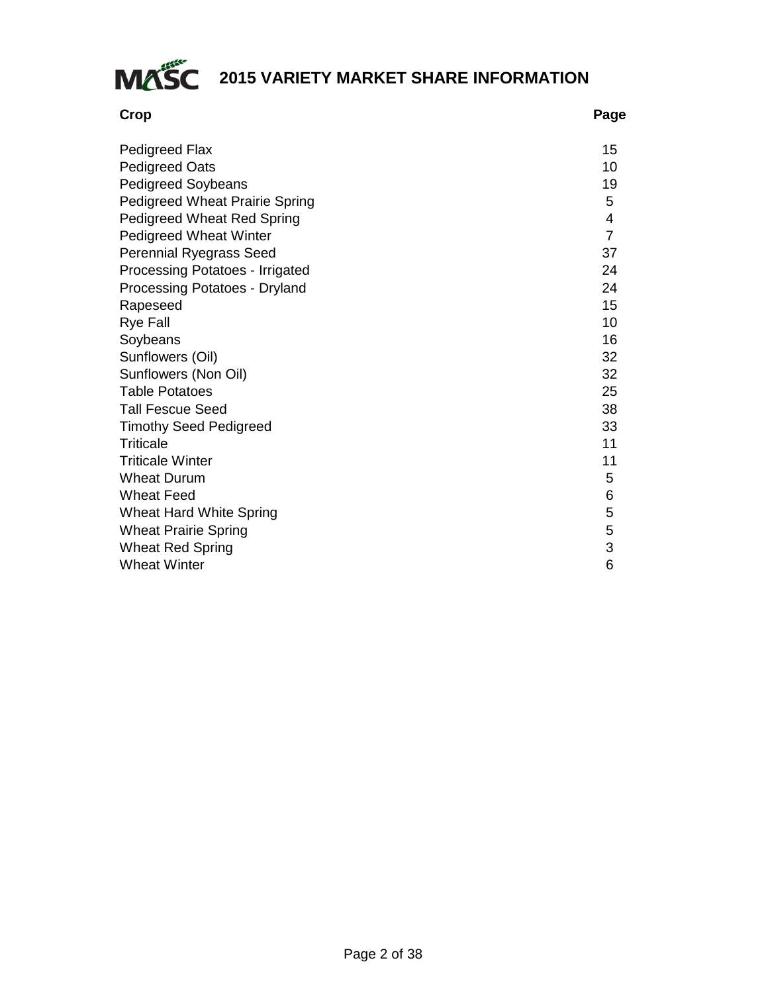

| Crop                                  | Page           |
|---------------------------------------|----------------|
| Pedigreed Flax                        | 15             |
| <b>Pedigreed Oats</b>                 | 10             |
| <b>Pedigreed Soybeans</b>             | 19             |
| <b>Pedigreed Wheat Prairie Spring</b> | 5              |
| Pedigreed Wheat Red Spring            | 4              |
| Pedigreed Wheat Winter                | $\overline{7}$ |
| Perennial Ryegrass Seed               | 37             |
| Processing Potatoes - Irrigated       | 24             |
| Processing Potatoes - Dryland         | 24             |
| Rapeseed                              | 15             |
| <b>Rye Fall</b>                       | 10             |
| Soybeans                              | 16             |
| Sunflowers (Oil)                      | 32             |
| Sunflowers (Non Oil)                  | 32             |
| <b>Table Potatoes</b>                 | 25             |
| <b>Tall Fescue Seed</b>               | 38             |
| <b>Timothy Seed Pedigreed</b>         | 33             |
| Triticale                             | 11             |
| <b>Triticale Winter</b>               | 11             |
| <b>Wheat Durum</b>                    | 5              |
| <b>Wheat Feed</b>                     | 6              |
| Wheat Hard White Spring               | 5              |
| <b>Wheat Prairie Spring</b>           | 5              |
| <b>Wheat Red Spring</b>               | 3              |
| <b>Wheat Winter</b>                   | 6              |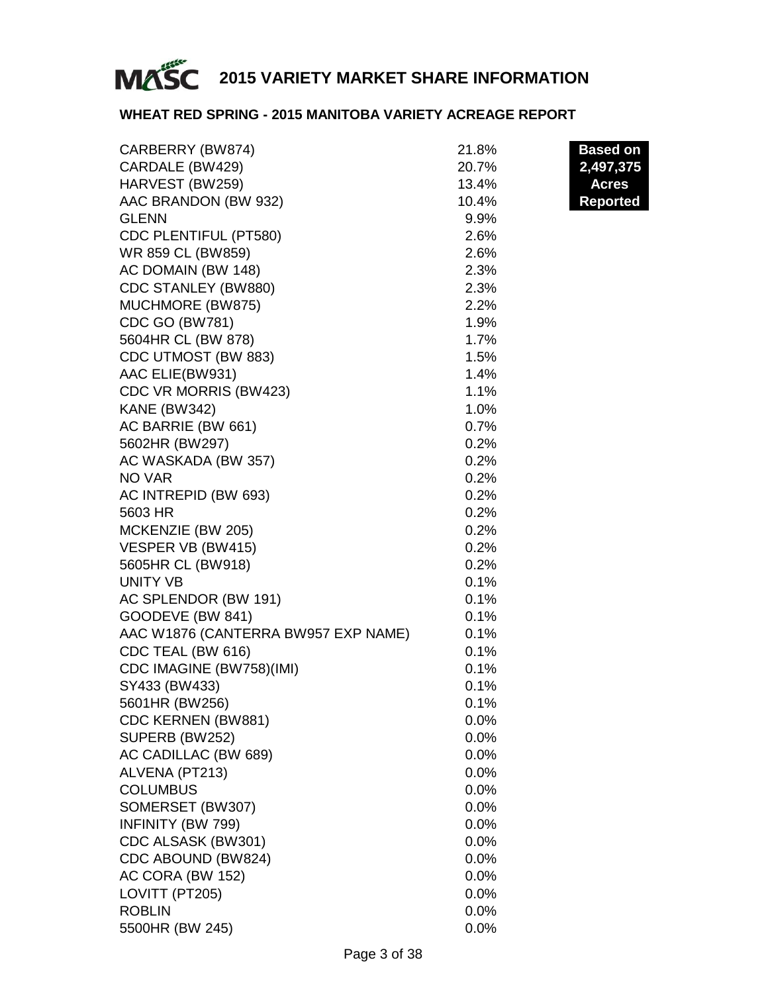

#### **WHEAT RED SPRING - 2015 MANITOBA VARIETY ACREAGE REPORT**

| CARBERRY (BW874)                    | 21.8% | <b>Based on</b> |
|-------------------------------------|-------|-----------------|
| CARDALE (BW429)                     | 20.7% | 2,497,375       |
| HARVEST (BW259)                     | 13.4% | <b>Acres</b>    |
| AAC BRANDON (BW 932)                | 10.4% | <b>Reported</b> |
| <b>GLENN</b>                        | 9.9%  |                 |
| CDC PLENTIFUL (PT580)               | 2.6%  |                 |
| WR 859 CL (BW859)                   | 2.6%  |                 |
| AC DOMAIN (BW 148)                  | 2.3%  |                 |
| CDC STANLEY (BW880)                 | 2.3%  |                 |
| MUCHMORE (BW875)                    | 2.2%  |                 |
| <b>CDC GO (BW781)</b>               | 1.9%  |                 |
| 5604HR CL (BW 878)                  | 1.7%  |                 |
| CDC UTMOST (BW 883)                 | 1.5%  |                 |
| AAC ELIE(BW931)                     | 1.4%  |                 |
| CDC VR MORRIS (BW423)               | 1.1%  |                 |
| <b>KANE (BW342)</b>                 | 1.0%  |                 |
| AC BARRIE (BW 661)                  | 0.7%  |                 |
| 5602HR (BW297)                      | 0.2%  |                 |
| AC WASKADA (BW 357)                 | 0.2%  |                 |
| NO VAR                              | 0.2%  |                 |
| AC INTREPID (BW 693)                | 0.2%  |                 |
| 5603 HR                             | 0.2%  |                 |
| MCKENZIE (BW 205)                   | 0.2%  |                 |
| VESPER VB (BW415)                   | 0.2%  |                 |
| 5605HR CL (BW918)                   | 0.2%  |                 |
| <b>UNITY VB</b>                     | 0.1%  |                 |
| AC SPLENDOR (BW 191)                | 0.1%  |                 |
| GOODEVE (BW 841)                    | 0.1%  |                 |
| AAC W1876 (CANTERRA BW957 EXP NAME) | 0.1%  |                 |
| CDC TEAL (BW 616)                   | 0.1%  |                 |
| CDC IMAGINE (BW758)(IMI)            | 0.1%  |                 |
| SY433 (BW433)                       | 0.1%  |                 |
| 5601HR (BW256)                      | 0.1%  |                 |
| CDC KERNEN (BW881)                  | 0.0%  |                 |
| SUPERB (BW252)                      | 0.0%  |                 |
| AC CADILLAC (BW 689)                | 0.0%  |                 |
| ALVENA (PT213)                      | 0.0%  |                 |
| <b>COLUMBUS</b>                     | 0.0%  |                 |
| SOMERSET (BW307)                    | 0.0%  |                 |
| INFINITY (BW 799)                   | 0.0%  |                 |
| CDC ALSASK (BW301)                  | 0.0%  |                 |
| CDC ABOUND (BW824)                  | 0.0%  |                 |
| AC CORA (BW 152)                    | 0.0%  |                 |
| LOVITT (PT205)                      | 0.0%  |                 |
| <b>ROBLIN</b>                       | 0.0%  |                 |
| 5500HR (BW 245)                     | 0.0%  |                 |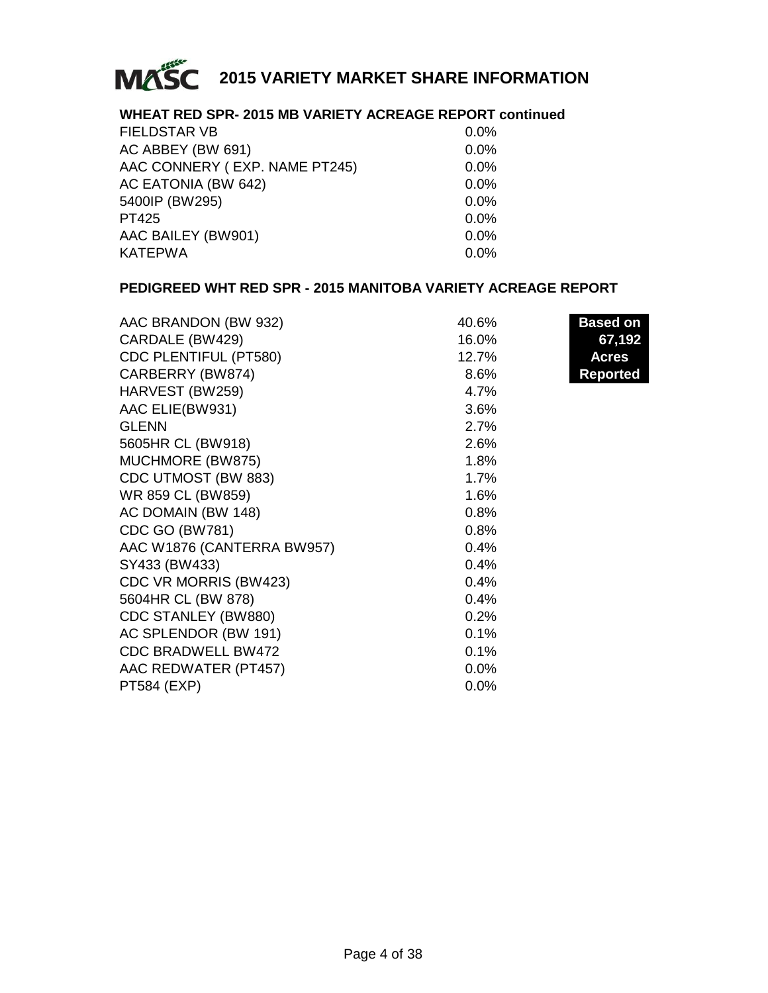

#### **WHEAT RED SPR- 2015 MB VARIETY ACREAGE REPORT continued**

| <b>FIELDSTAR VB</b>           | $0.0\%$ |
|-------------------------------|---------|
| AC ABBEY (BW 691)             | 0.0%    |
| AAC CONNERY (EXP. NAME PT245) | 0.0%    |
| AC EATONIA (BW 642)           | $0.0\%$ |
| 5400IP (BW295)                | $0.0\%$ |
| PT425                         | $0.0\%$ |
| AAC BAILEY (BW901)            | $0.0\%$ |
| <b>KATEPWA</b>                | 0.0%    |

#### **PEDIGREED WHT RED SPR - 2015 MANITOBA VARIETY ACREAGE REPORT**

| AAC BRANDON (BW 932)       | 40.6% | <b>Based on</b> |
|----------------------------|-------|-----------------|
| CARDALE (BW429)            | 16.0% | 67,192          |
| CDC PLENTIFUL (PT580)      | 12.7% | <b>Acres</b>    |
| CARBERRY (BW874)           | 8.6%  | <b>Reported</b> |
| HARVEST (BW259)            | 4.7%  |                 |
| AAC ELIE(BW931)            | 3.6%  |                 |
| <b>GLENN</b>               | 2.7%  |                 |
| 5605HR CL (BW918)          | 2.6%  |                 |
| MUCHMORE (BW875)           | 1.8%  |                 |
| CDC UTMOST (BW 883)        | 1.7%  |                 |
| WR 859 CL (BW859)          | 1.6%  |                 |
| AC DOMAIN (BW 148)         | 0.8%  |                 |
| <b>CDC GO (BW781)</b>      | 0.8%  |                 |
| AAC W1876 (CANTERRA BW957) | 0.4%  |                 |
| SY433 (BW433)              | 0.4%  |                 |
| CDC VR MORRIS (BW423)      | 0.4%  |                 |
| 5604HR CL (BW 878)         | 0.4%  |                 |
| CDC STANLEY (BW880)        | 0.2%  |                 |
| AC SPLENDOR (BW 191)       | 0.1%  |                 |
| <b>CDC BRADWELL BW472</b>  | 0.1%  |                 |
| AAC REDWATER (PT457)       | 0.0%  |                 |
| PT584 (EXP)                | 0.0%  |                 |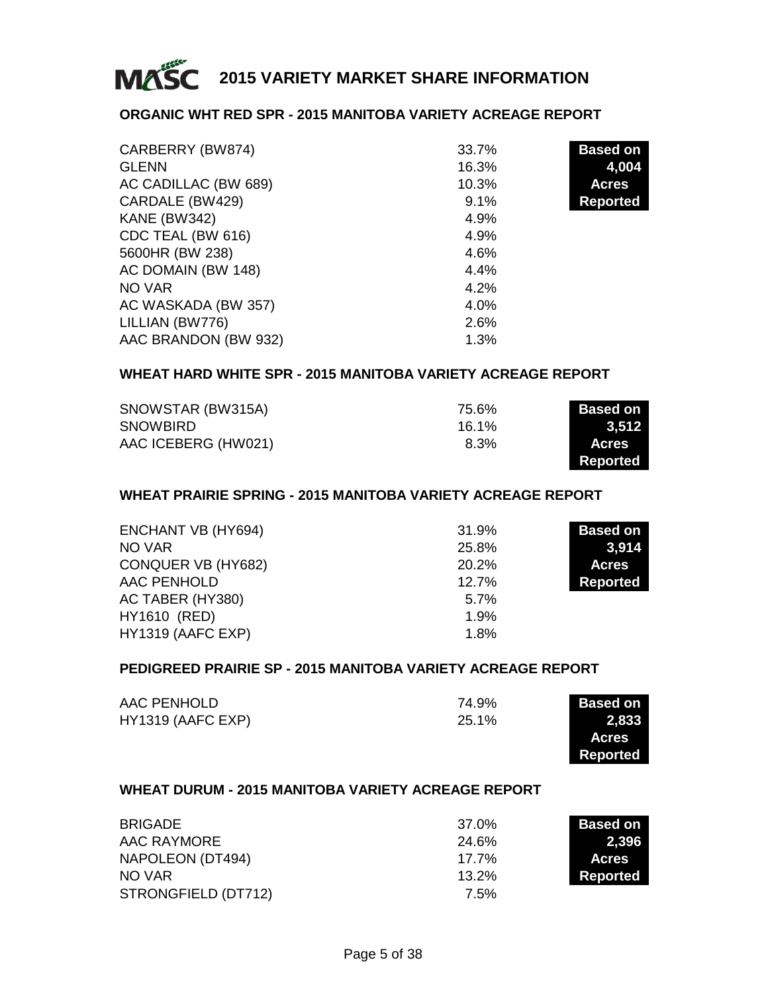

#### **ORGANIC WHT RED SPR - 2015 MANITOBA VARIETY ACREAGE REPORT**

| CARBERRY (BW874)     | 33.7% | <b>Based on</b> |
|----------------------|-------|-----------------|
| <b>GLENN</b>         | 16.3% | 4,004           |
| AC CADILLAC (BW 689) | 10.3% | <b>Acres</b>    |
| CARDALE (BW429)      | 9.1%  | <b>Reported</b> |
| <b>KANE (BW342)</b>  | 4.9%  |                 |
| CDC TEAL (BW 616)    | 4.9%  |                 |
| 5600HR (BW 238)      | 4.6%  |                 |
| AC DOMAIN (BW 148)   | 4.4%  |                 |
| NO VAR               | 4.2%  |                 |
| AC WASKADA (BW 357)  | 4.0%  |                 |
| LILLIAN (BW776)      | 2.6%  |                 |
| AAC BRANDON (BW 932) | 1.3%  |                 |

#### **WHEAT HARD WHITE SPR - 2015 MANITOBA VARIETY ACREAGE REPORT**

| SNOWSTAR (BW315A)   | 75.6% | <b>Based on</b> |
|---------------------|-------|-----------------|
| <b>SNOWBIRD</b>     | 16.1% | 3.512           |
| AAC ICEBERG (HW021) | 8.3%  | Acres.          |
|                     |       | Reported        |

#### **WHEAT PRAIRIE SPRING - 2015 MANITOBA VARIETY ACREAGE REPORT**

| ENCHANT VB (HY694)  | 31.9%   | <b>Based on</b> |
|---------------------|---------|-----------------|
| NO VAR              | 25.8%   | 3,914           |
| CONQUER VB (HY682)  | 20.2%   | <b>Acres</b>    |
| AAC PENHOLD         | 12.7%   | Reported        |
| AC TABER (HY380)    | $5.7\%$ |                 |
| <b>HY1610 (RED)</b> | 1.9%    |                 |
| HY1319 (AAFC EXP)   | 1.8%    |                 |

#### **PEDIGREED PRAIRIE SP - 2015 MANITOBA VARIETY ACREAGE REPORT**

| AAC PENHOLD       | 74.9% | <b>Based on</b> |
|-------------------|-------|-----------------|
| HY1319 (AAFC EXP) | 25.1% | 2.833           |
|                   |       | <b>Acres</b>    |

**Reported**

#### **WHEAT DURUM - 2015 MANITOBA VARIETY ACREAGE REPORT**

| <b>BRIGADE</b>      | 37.0%    | <b>Based on</b> |
|---------------------|----------|-----------------|
| AAC RAYMORE         | 24.6%    | 2.396           |
| NAPOLEON (DT494)    | $17.7\%$ | <b>Acres</b>    |
| NO VAR              | $13.2\%$ | Reported        |
| STRONGFIELD (DT712) | 7.5%     |                 |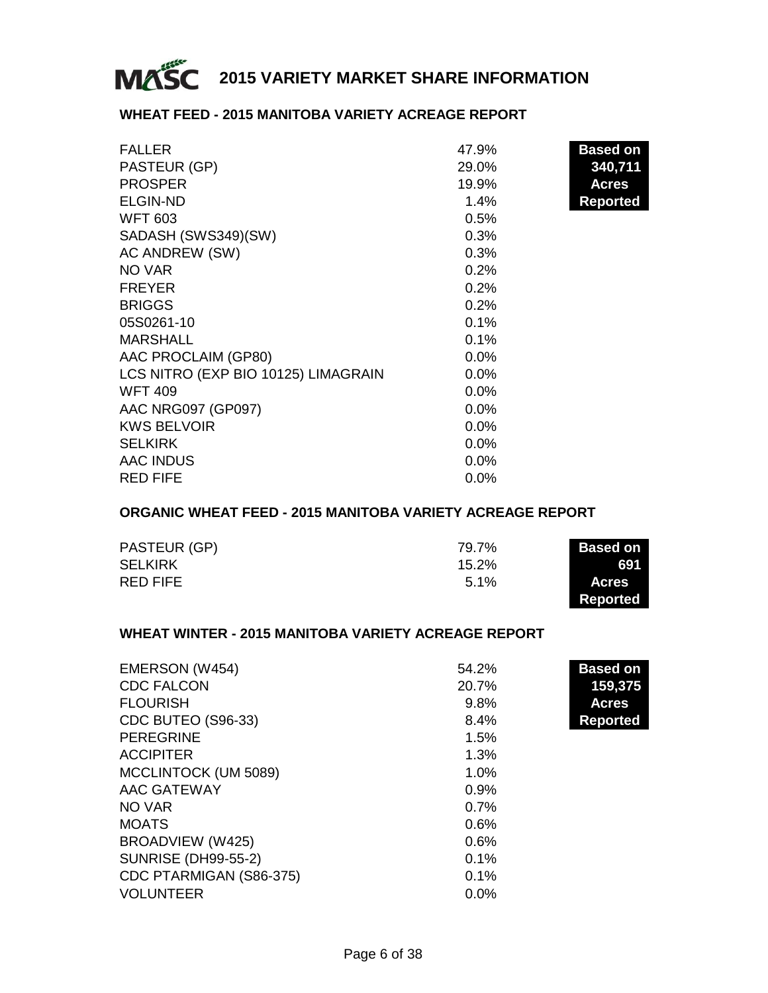

#### **WHEAT FEED - 2015 MANITOBA VARIETY ACREAGE REPORT**

| <b>FALLER</b>                       | 47.9%   | <b>Based on</b> |
|-------------------------------------|---------|-----------------|
| PASTEUR (GP)                        | 29.0%   | 340,711         |
| <b>PROSPER</b>                      | 19.9%   | Acres           |
| <b>ELGIN-ND</b>                     | 1.4%    | Reported        |
| <b>WFT 603</b>                      | 0.5%    |                 |
| SADASH (SWS349)(SW)                 | 0.3%    |                 |
| AC ANDREW (SW)                      | 0.3%    |                 |
| NO VAR                              | 0.2%    |                 |
| <b>FREYER</b>                       | 0.2%    |                 |
| <b>BRIGGS</b>                       | 0.2%    |                 |
| 05S0261-10                          | 0.1%    |                 |
| <b>MARSHALL</b>                     | 0.1%    |                 |
| AAC PROCLAIM (GP80)                 | $0.0\%$ |                 |
| LCS NITRO (EXP BIO 10125) LIMAGRAIN | $0.0\%$ |                 |
| <b>WFT 409</b>                      | $0.0\%$ |                 |
| AAC NRG097 (GP097)                  | $0.0\%$ |                 |
| <b>KWS BELVOIR</b>                  | $0.0\%$ |                 |
| <b>SELKIRK</b>                      | $0.0\%$ |                 |
| <b>AAC INDUS</b>                    | $0.0\%$ |                 |
| <b>RED FIFE</b>                     | $0.0\%$ |                 |

#### **ORGANIC WHEAT FEED - 2015 MANITOBA VARIETY ACREAGE REPORT**

| PASTEUR (GP)   | 79.7%    | <b>Based on</b> |
|----------------|----------|-----------------|
| <b>SELKIRK</b> | $15.2\%$ | 691             |
| RED FIFE       | $5.1\%$  | <b>Acres</b>    |
|                |          | Reported        |

#### **WHEAT WINTER - 2015 MANITOBA VARIETY ACREAGE REPORT**

| EMERSON (W454)             | 54.2%   | <b>Based on</b> |
|----------------------------|---------|-----------------|
| <b>CDC FALCON</b>          | 20.7%   | 159,375         |
| <b>FLOURISH</b>            | 9.8%    | <b>Acres</b>    |
| CDC BUTEO (S96-33)         | 8.4%    | <b>Reported</b> |
| <b>PEREGRINE</b>           | 1.5%    |                 |
| <b>ACCIPITER</b>           | 1.3%    |                 |
| MCCLINTOCK (UM 5089)       | 1.0%    |                 |
| AAC GATEWAY                | 0.9%    |                 |
| NO VAR                     | 0.7%    |                 |
| <b>MOATS</b>               | 0.6%    |                 |
| BROADVIEW (W425)           | 0.6%    |                 |
| <b>SUNRISE (DH99-55-2)</b> | 0.1%    |                 |
| CDC PTARMIGAN (S86-375)    | 0.1%    |                 |
| <b>VOLUNTEER</b>           | $0.0\%$ |                 |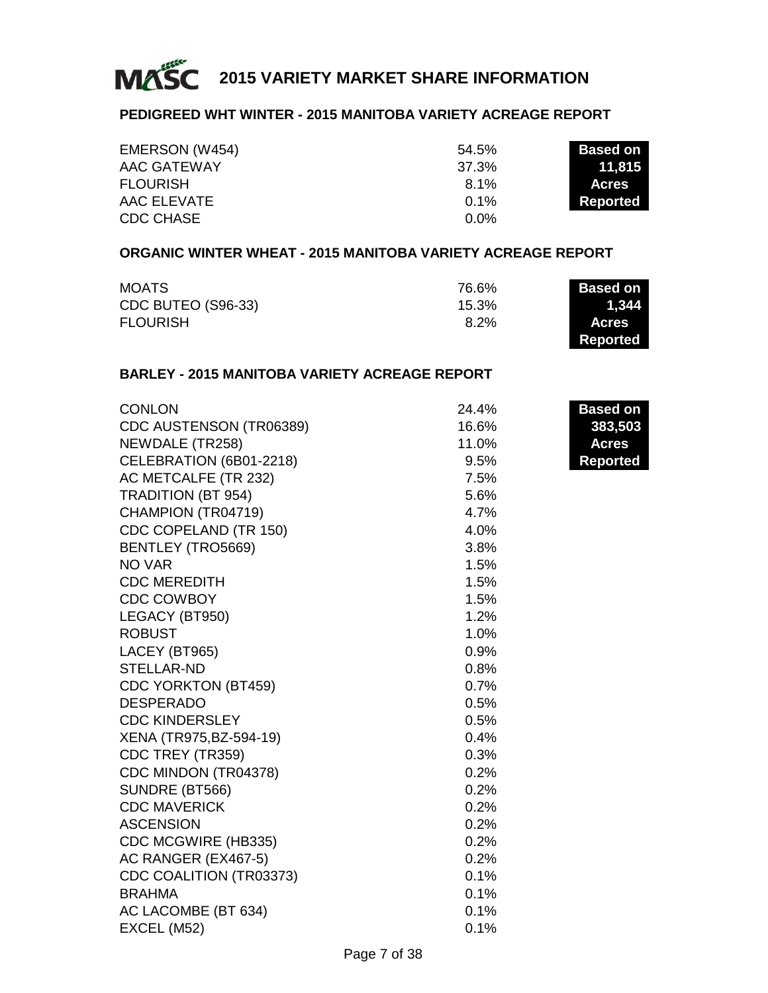

#### **PEDIGREED WHT WINTER - 2015 MANITOBA VARIETY ACREAGE REPORT**

| EMERSON (W454)  | 54.5%   | <b>Based on</b> |
|-----------------|---------|-----------------|
| AAC GATEWAY     | 37.3%   | 11.815          |
| <b>FLOURISH</b> | 8.1%    | <b>Acres</b>    |
| AAC ELEVATE     | $0.1\%$ | Reported        |
| CDC CHASE       | $0.0\%$ |                 |

#### **ORGANIC WINTER WHEAT - 2015 MANITOBA VARIETY ACREAGE REPORT**

| MOATS              | 76.6% | <b>Based on</b> |
|--------------------|-------|-----------------|
| CDC BUTEO (S96-33) | 15.3% | 1,344           |
| <b>FLOURISH</b>    | 8.2%  | <b>Acres</b>    |
|                    |       | Reported        |

#### **BARLEY - 2015 MANITOBA VARIETY ACREAGE REPORT**

| CONLON                     | 24.4%   | <b>Based on</b> |
|----------------------------|---------|-----------------|
| CDC AUSTENSON (TR06389)    | 16.6%   | 383,503         |
| NEWDALE (TR258)            | 11.0%   | Acres           |
| CELEBRATION (6B01-2218)    | 9.5%    | <b>Reported</b> |
| AC METCALFE (TR 232)       | 7.5%    |                 |
| <b>TRADITION (BT 954)</b>  | 5.6%    |                 |
| CHAMPION (TR04719)         | 4.7%    |                 |
| CDC COPELAND (TR 150)      | 4.0%    |                 |
| BENTLEY (TRO5669)          | 3.8%    |                 |
| NO VAR                     | 1.5%    |                 |
| <b>CDC MEREDITH</b>        | 1.5%    |                 |
| CDC COWBOY                 | 1.5%    |                 |
| LEGACY (BT950)             | 1.2%    |                 |
| <b>ROBUST</b>              | 1.0%    |                 |
| LACEY (BT965)              | $0.9\%$ |                 |
| STELLAR-ND                 | 0.8%    |                 |
| <b>CDC YORKTON (BT459)</b> | 0.7%    |                 |
| <b>DESPERADO</b>           | 0.5%    |                 |
| <b>CDC KINDERSLEY</b>      | 0.5%    |                 |
| XENA (TR975, BZ-594-19)    | 0.4%    |                 |
| CDC TREY (TR359)           | 0.3%    |                 |
| CDC MINDON (TR04378)       | 0.2%    |                 |
| SUNDRE (BT566)             | 0.2%    |                 |
| <b>CDC MAVERICK</b>        | 0.2%    |                 |
| <b>ASCENSION</b>           | 0.2%    |                 |
| CDC MCGWIRE (HB335)        | 0.2%    |                 |
| AC RANGER (EX467-5)        | 0.2%    |                 |
| CDC COALITION (TR03373)    | 0.1%    |                 |
| <b>BRAHMA</b>              | 0.1%    |                 |
| AC LACOMBE (BT 634)        | 0.1%    |                 |
| EXCEL (M52)                | 0.1%    |                 |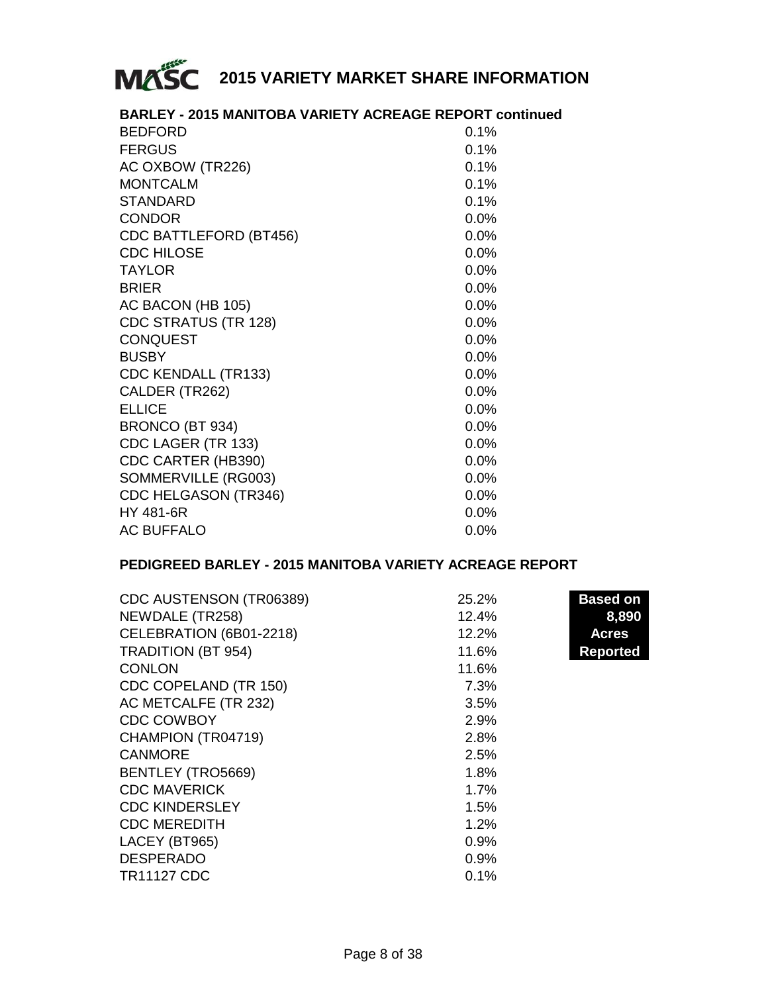

| <b>BARLEY - 2015 MANITOBA VARIETY ACREAGE REPORT continued</b> |         |
|----------------------------------------------------------------|---------|
| <b>BEDFORD</b>                                                 | 0.1%    |
| <b>FERGUS</b>                                                  | 0.1%    |
| AC OXBOW (TR226)                                               | 0.1%    |
| <b>MONTCALM</b>                                                | 0.1%    |
| STANDARD                                                       | 0.1%    |
| <b>CONDOR</b>                                                  | $0.0\%$ |
| CDC BATTLEFORD (BT456)                                         | 0.0%    |
| <b>CDC HILOSE</b>                                              | $0.0\%$ |
| <b>TAYLOR</b>                                                  | 0.0%    |
| <b>BRIER</b>                                                   | $0.0\%$ |
| AC BACON (HB 105)                                              | 0.0%    |
| CDC STRATUS (TR 128)                                           | 0.0%    |
| <b>CONQUEST</b>                                                | 0.0%    |
| <b>BUSBY</b>                                                   | 0.0%    |
| <b>CDC KENDALL (TR133)</b>                                     | 0.0%    |
| CALDER (TR262)                                                 | 0.0%    |
| <b>ELLICE</b>                                                  | 0.0%    |
| BRONCO (BT 934)                                                | 0.0%    |
| CDC LAGER (TR 133)                                             | 0.0%    |
| CDC CARTER (HB390)                                             | 0.0%    |
| SOMMERVILLE (RG003)                                            | 0.0%    |
| CDC HELGASON (TR346)                                           | $0.0\%$ |
| HY 481-6R                                                      | 0.0%    |
| <b>AC BUFFALO</b>                                              | $0.0\%$ |

#### **PEDIGREED BARLEY - 2015 MANITOBA VARIETY ACREAGE REPORT**

| CDC AUSTENSON (TR06389)   | 25.2% | <b>Based on</b> |
|---------------------------|-------|-----------------|
| NEWDALE (TR258)           | 12.4% | 8,890           |
| CELEBRATION (6B01-2218)   | 12.2% | <b>Acres</b>    |
| <b>TRADITION (BT 954)</b> | 11.6% | Reported        |
| <b>CONLON</b>             | 11.6% |                 |
| CDC COPELAND (TR 150)     | 7.3%  |                 |
| AC METCALFE (TR 232)      | 3.5%  |                 |
| <b>CDC COWBOY</b>         | 2.9%  |                 |
| CHAMPION (TR04719)        | 2.8%  |                 |
| <b>CANMORE</b>            | 2.5%  |                 |
| BENTLEY (TRO5669)         | 1.8%  |                 |
| <b>CDC MAVERICK</b>       | 1.7%  |                 |
| <b>CDC KINDERSLEY</b>     | 1.5%  |                 |
| <b>CDC MEREDITH</b>       | 1.2%  |                 |
| LACEY (BT965)             | 0.9%  |                 |
| <b>DESPERADO</b>          | 0.9%  |                 |
| <b>TR11127 CDC</b>        | 0.1%  |                 |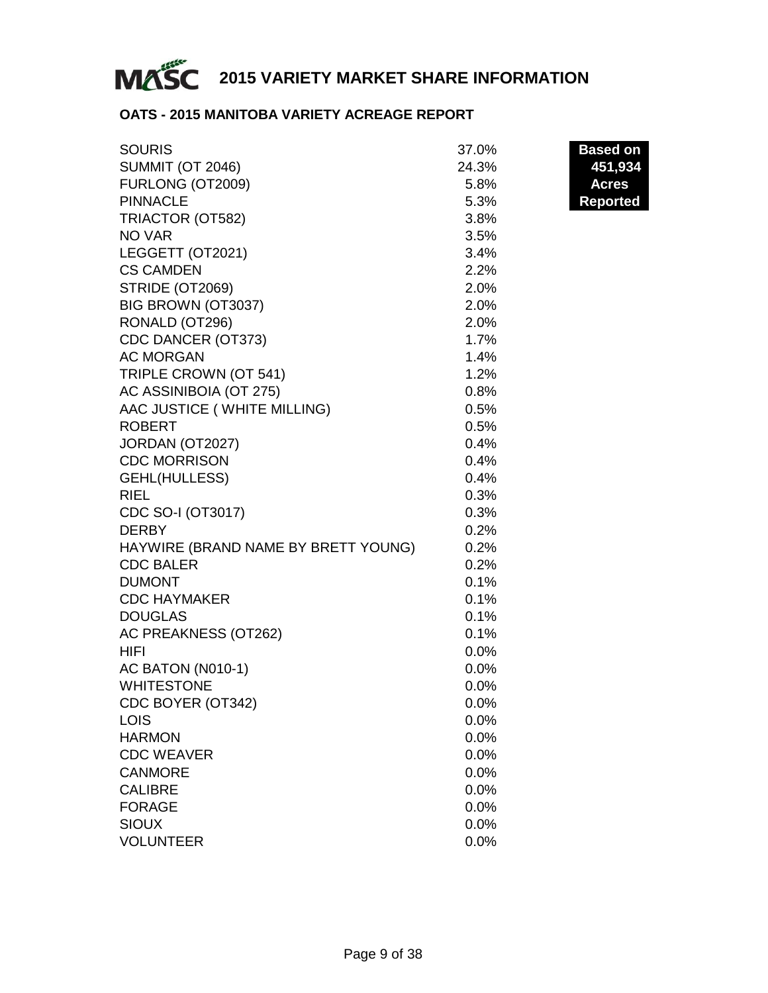

#### **OATS - 2015 MANITOBA VARIETY ACREAGE REPORT**

| <b>SOURIS</b>                       | 37.0%   | <b>Based on</b> |
|-------------------------------------|---------|-----------------|
| <b>SUMMIT (OT 2046)</b>             | 24.3%   | 451,934         |
| FURLONG (OT2009)                    | 5.8%    | <b>Acres</b>    |
| <b>PINNACLE</b>                     | 5.3%    | <b>Reported</b> |
| TRIACTOR (OT582)                    | 3.8%    |                 |
| NO VAR                              | 3.5%    |                 |
| LEGGETT (OT2021)                    | 3.4%    |                 |
| <b>CS CAMDEN</b>                    | 2.2%    |                 |
| STRIDE (OT2069)                     | 2.0%    |                 |
| BIG BROWN (OT3037)                  | 2.0%    |                 |
| RONALD (OT296)                      | 2.0%    |                 |
| CDC DANCER (OT373)                  | 1.7%    |                 |
| <b>AC MORGAN</b>                    | 1.4%    |                 |
| TRIPLE CROWN (OT 541)               | 1.2%    |                 |
| AC ASSINIBOIA (OT 275)              | 0.8%    |                 |
| AAC JUSTICE (WHITE MILLING)         | 0.5%    |                 |
| ROBERT                              | 0.5%    |                 |
| JORDAN (OT2027)                     | 0.4%    |                 |
| <b>CDC MORRISON</b>                 | 0.4%    |                 |
| GEHL(HULLESS)                       | 0.4%    |                 |
| <b>RIEL</b>                         | 0.3%    |                 |
| CDC SO-I (OT3017)                   | 0.3%    |                 |
| <b>DERBY</b>                        | 0.2%    |                 |
| HAYWIRE (BRAND NAME BY BRETT YOUNG) | 0.2%    |                 |
| <b>CDC BALER</b>                    | 0.2%    |                 |
| <b>DUMONT</b>                       | 0.1%    |                 |
| <b>CDC HAYMAKER</b>                 | 0.1%    |                 |
| <b>DOUGLAS</b>                      | 0.1%    |                 |
| AC PREAKNESS (OT262)                | 0.1%    |                 |
| HIFI                                | 0.0%    |                 |
| AC BATON (N010-1)                   | 0.0%    |                 |
| <b>WHITESTONE</b>                   | 0.0%    |                 |
| CDC BOYER (OT342)                   | $0.0\%$ |                 |
| LOIS                                | 0.0%    |                 |
| <b>HARMON</b>                       | 0.0%    |                 |
| <b>CDC WEAVER</b>                   | 0.0%    |                 |
| <b>CANMORE</b>                      | $0.0\%$ |                 |
| <b>CALIBRE</b>                      | 0.0%    |                 |
| <b>FORAGE</b>                       | 0.0%    |                 |
| Sioux                               | $0.0\%$ |                 |
| <b>VOLUNTEER</b>                    | 0.0%    |                 |

**Based on**<br>451,934 **Reported**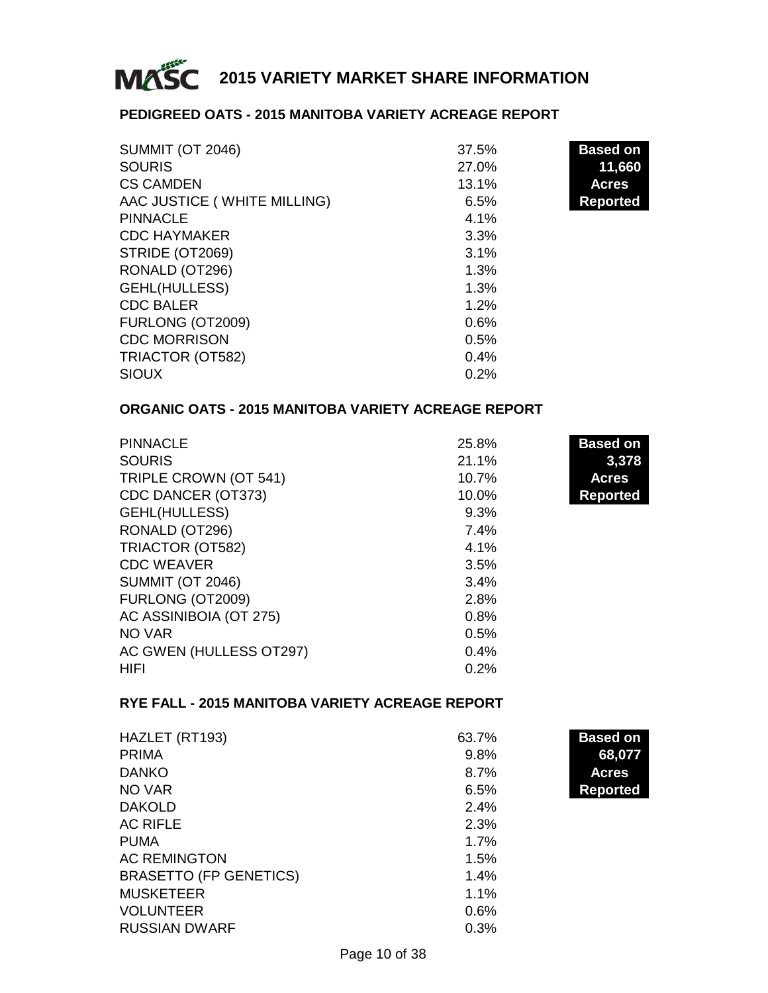

#### **PEDIGREED OATS - 2015 MANITOBA VARIETY ACREAGE REPORT**

| <b>SUMMIT (OT 2046)</b>     | 37.5% | <b>Based on</b> |
|-----------------------------|-------|-----------------|
| <b>SOURIS</b>               | 27.0% | 11,660          |
| <b>CS CAMDEN</b>            | 13.1% | <b>Acres</b>    |
| AAC JUSTICE (WHITE MILLING) | 6.5%  | <b>Reported</b> |
| <b>PINNACLE</b>             | 4.1%  |                 |
| <b>CDC HAYMAKER</b>         | 3.3%  |                 |
| STRIDE (OT2069)             | 3.1%  |                 |
| RONALD (OT296)              | 1.3%  |                 |
| GEHL(HULLESS)               | 1.3%  |                 |
| <b>CDC BALER</b>            | 1.2%  |                 |
| FURLONG (OT2009)            | 0.6%  |                 |
| <b>CDC MORRISON</b>         | 0.5%  |                 |
| TRIACTOR (OT582)            | 0.4%  |                 |
| <b>SIOUX</b>                | 0.2%  |                 |

#### **ORGANIC OATS - 2015 MANITOBA VARIETY ACREAGE REPORT**

| <b>PINNACLE</b>         | 25.8% | <b>Based on</b> |
|-------------------------|-------|-----------------|
| <b>SOURIS</b>           | 21.1% | 3,378           |
| TRIPLE CROWN (OT 541)   | 10.7% | <b>Acres</b>    |
| CDC DANCER (OT373)      | 10.0% | <b>Reported</b> |
| GEHL(HULLESS)           | 9.3%  |                 |
| RONALD (OT296)          | 7.4%  |                 |
| TRIACTOR (OT582)        | 4.1%  |                 |
| <b>CDC WEAVER</b>       | 3.5%  |                 |
| <b>SUMMIT (OT 2046)</b> | 3.4%  |                 |
| FURLONG (OT2009)        | 2.8%  |                 |
| AC ASSINIBOIA (OT 275)  | 0.8%  |                 |
| NO VAR                  | 0.5%  |                 |
| AC GWEN (HULLESS OT297) | 0.4%  |                 |
| HIFI                    | 0.2%  |                 |

#### **RYE FALL - 2015 MANITOBA VARIETY ACREAGE REPORT**

| HAZLET (RT193)                | 63.7%   | <b>Based on</b> |
|-------------------------------|---------|-----------------|
| <b>PRIMA</b>                  | 9.8%    | 68,077          |
| <b>DANKO</b>                  | 8.7%    | <b>Acres</b>    |
| NO VAR                        | 6.5%    | <b>Reported</b> |
| <b>DAKOLD</b>                 | 2.4%    |                 |
| <b>AC RIFLE</b>               | 2.3%    |                 |
| <b>PUMA</b>                   | $1.7\%$ |                 |
| <b>AC REMINGTON</b>           | 1.5%    |                 |
| <b>BRASETTO (FP GENETICS)</b> | 1.4%    |                 |
| <b>MUSKETEER</b>              | 1.1%    |                 |
| <b>VOLUNTEER</b>              | 0.6%    |                 |
| <b>RUSSIAN DWARF</b>          | 0.3%    |                 |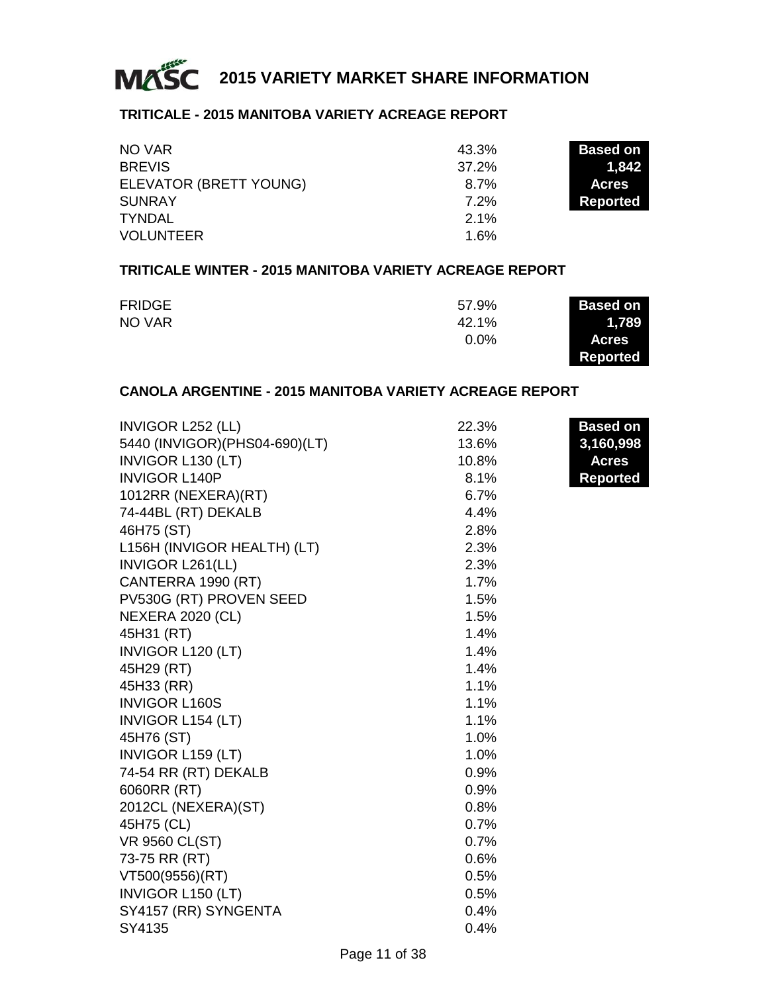

#### **TRITICALE - 2015 MANITOBA VARIETY ACREAGE REPORT**

| NO VAR                 | 43.3%   | <b>Based on</b> |
|------------------------|---------|-----------------|
| <b>BREVIS</b>          | 37.2%   | 1.842           |
| ELEVATOR (BRETT YOUNG) | $8.7\%$ | <b>Acres</b>    |
| <b>SUNRAY</b>          | $7.2\%$ | Reported        |
| <b>TYNDAL</b>          | 2.1%    |                 |
| <b>VOLUNTEER</b>       | 1.6%    |                 |

#### **TRITICALE WINTER - 2015 MANITOBA VARIETY ACREAGE REPORT**

| <b>FRIDGE</b> | 57.9%   | <b>Based on</b> |
|---------------|---------|-----------------|
| NO VAR        | 42.1%   | 1,789           |
|               | $0.0\%$ | <b>Acres</b>    |
|               |         | <b>Reported</b> |

#### **CANOLA ARGENTINE - 2015 MANITOBA VARIETY ACREAGE REPORT**

| INVIGOR L252 (LL)               | 22.3% | <b>Based on</b> |
|---------------------------------|-------|-----------------|
| 5440 (INVIGOR) (PHS04-690) (LT) | 13.6% | 3,160,998       |
| INVIGOR L130 (LT)               | 10.8% | <b>Acres</b>    |
| <b>INVIGOR L140P</b>            | 8.1%  | <b>Reported</b> |
| 1012RR (NEXERA)(RT)             | 6.7%  |                 |
| 74-44BL (RT) DEKALB             | 4.4%  |                 |
| 46H75 (ST)                      | 2.8%  |                 |
| L156H (INVIGOR HEALTH) (LT)     | 2.3%  |                 |
| INVIGOR L261(LL)                | 2.3%  |                 |
| CANTERRA 1990 (RT)              | 1.7%  |                 |
| PV530G (RT) PROVEN SEED         | 1.5%  |                 |
| <b>NEXERA 2020 (CL)</b>         | 1.5%  |                 |
| 45H31 (RT)                      | 1.4%  |                 |
| <b>INVIGOR L120 (LT)</b>        | 1.4%  |                 |
| 45H29 (RT)                      | 1.4%  |                 |
| 45H33 (RR)                      | 1.1%  |                 |
| <b>INVIGOR L160S</b>            | 1.1%  |                 |
| <b>INVIGOR L154 (LT)</b>        | 1.1%  |                 |
| 45H76 (ST)                      | 1.0%  |                 |
| <b>INVIGOR L159 (LT)</b>        | 1.0%  |                 |
| 74-54 RR (RT) DEKALB            | 0.9%  |                 |
| 6060RR (RT)                     | 0.9%  |                 |
| 2012CL (NEXERA)(ST)             | 0.8%  |                 |
| 45H75 (CL)                      | 0.7%  |                 |
| <b>VR 9560 CL(ST)</b>           | 0.7%  |                 |
| 73-75 RR (RT)                   | 0.6%  |                 |
| VT500(9556)(RT)                 | 0.5%  |                 |
| <b>INVIGOR L150 (LT)</b>        | 0.5%  |                 |
| SY4157 (RR) SYNGENTA            | 0.4%  |                 |
| SY4135                          | 0.4%  |                 |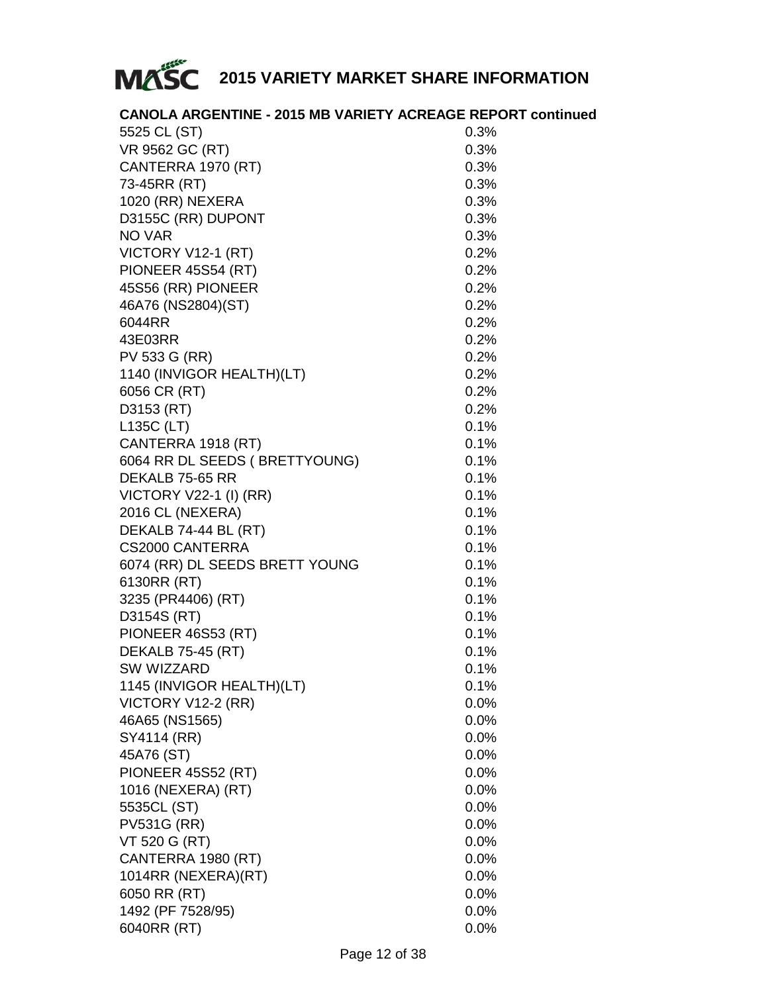

|              | <b>CANOLA ARGENTINE - 2015 MB VARIETY ACREAGE REPORT continued</b> |
|--------------|--------------------------------------------------------------------|
| EEDE OL (OT) | ∩ גוס                                                              |

| 5525 CL (ST)                   | U.3%    |
|--------------------------------|---------|
| VR 9562 GC (RT)                | 0.3%    |
| CANTERRA 1970 (RT)             | $0.3\%$ |
| 73-45RR (RT)                   | 0.3%    |
| 1020 (RR) NEXERA               | 0.3%    |
| D3155C (RR) DUPONT             | 0.3%    |
| <b>NO VAR</b>                  | 0.3%    |
| VICTORY V12-1 (RT)             | 0.2%    |
| PIONEER 45S54 (RT)             | 0.2%    |
| 45S56 (RR) PIONEER             | 0.2%    |
| 46A76 (NS2804)(ST)             | 0.2%    |
| 6044RR                         | 0.2%    |
| 43E03RR                        | 0.2%    |
| PV 533 G (RR)                  | 0.2%    |
| 1140 (INVIGOR HEALTH)(LT)      | 0.2%    |
| 6056 CR (RT)                   | 0.2%    |
| D3153 (RT)                     | 0.2%    |
| L135C (LT)                     | 0.1%    |
| CANTERRA 1918 (RT)             | 0.1%    |
| 6064 RR DL SEEDS (BRETTYOUNG)  | 0.1%    |
| DEKALB 75-65 RR                | 0.1%    |
| VICTORY V22-1 (I) (RR)         | 0.1%    |
| 2016 CL (NEXERA)               | 0.1%    |
| DEKALB 74-44 BL (RT)           | 0.1%    |
| CS2000 CANTERRA                | 0.1%    |
| 6074 (RR) DL SEEDS BRETT YOUNG | 0.1%    |
| 6130RR (RT)                    | 0.1%    |
| 3235 (PR4406) (RT)             | 0.1%    |
| D3154S (RT)                    | 0.1%    |
| PIONEER 46S53 (RT)             | 0.1%    |
| <b>DEKALB 75-45 (RT)</b>       | 0.1%    |
| SW WIZZARD                     | 0.1%    |
| 1145 (INVIGOR HEALTH)(LT)      | 0.1%    |
| VICTORY V12-2 (RR)             | $0.0\%$ |
| 46A65 (NS1565)                 | $0.0\%$ |
| SY4114 (RR)                    | $0.0\%$ |
| 45A76 (ST)                     | 0.0%    |
| PIONEER 45S52 (RT)             | 0.0%    |
| 1016 (NEXERA) (RT)             | 0.0%    |
| 5535CL (ST)                    | $0.0\%$ |
| <b>PV531G (RR)</b>             | $0.0\%$ |
| VT 520 G (RT)                  | 0.0%    |
| CANTERRA 1980 (RT)             | $0.0\%$ |
| 1014RR (NEXERA)(RT)            | $0.0\%$ |
| 6050 RR (RT)                   | $0.0\%$ |
| 1492 (PF 7528/95)              | 0.0%    |
| 6040RR (RT)                    | $0.0\%$ |
|                                |         |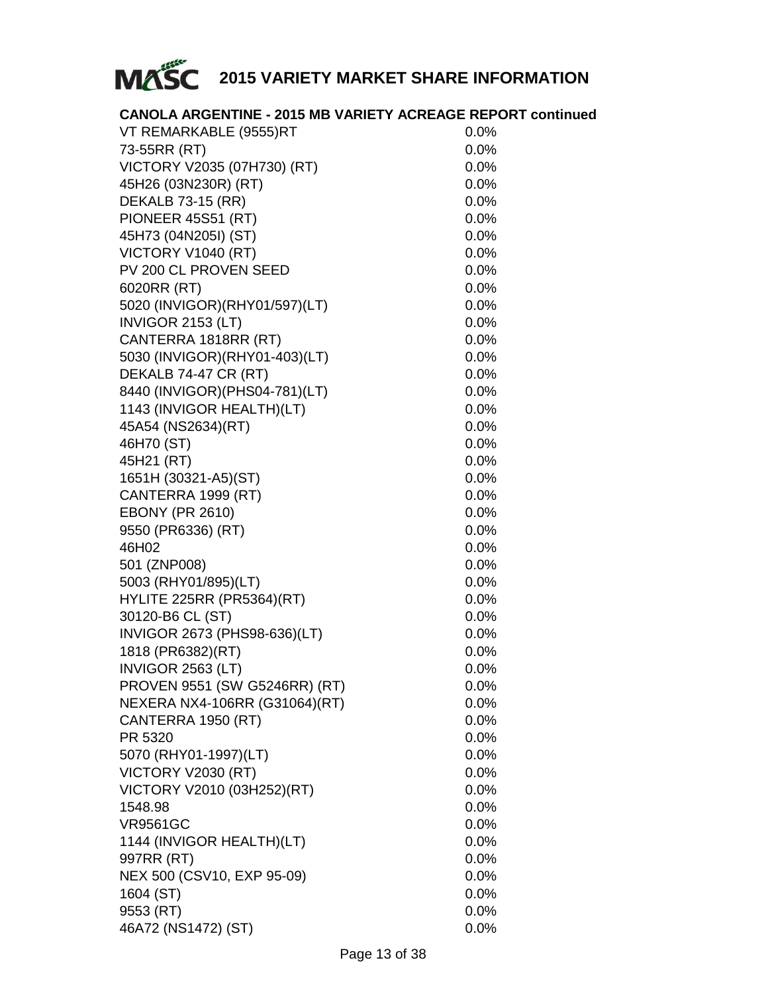

#### **CANOLA ARGENTINE - 2015 MB VARIETY ACREAGE REPORT continued**

| VT REMARKABLE (9555)RT           | 0.0%    |
|----------------------------------|---------|
| 73-55RR (RT)                     | 0.0%    |
| VICTORY V2035 (07H730) (RT)      | 0.0%    |
| 45H26 (03N230R) (RT)             | $0.0\%$ |
| <b>DEKALB 73-15 (RR)</b>         | $0.0\%$ |
| PIONEER 45S51 (RT)               | $0.0\%$ |
| 45H73 (04N205I) (ST)             | $0.0\%$ |
| VICTORY V1040 (RT)               | 0.0%    |
| PV 200 CL PROVEN SEED            | 0.0%    |
| 6020RR (RT)                      | $0.0\%$ |
| 5020 (INVIGOR) (RHY01/597) (LT)  | $0.0\%$ |
| INVIGOR 2153 (LT)                | 0.0%    |
| CANTERRA 1818RR (RT)             | $0.0\%$ |
| 5030 (INVIGOR) (RHY01-403) (LT)  | $0.0\%$ |
| DEKALB 74-47 CR (RT)             | $0.0\%$ |
| 8440 (INVIGOR) (PHS04-781) (LT)  | $0.0\%$ |
| 1143 (INVIGOR HEALTH)(LT)        | $0.0\%$ |
| 45A54 (NS2634)(RT)               | 0.0%    |
| 46H70 (ST)                       | 0.0%    |
| 45H21 (RT)                       | 0.0%    |
| 1651H (30321-A5)(ST)             | 0.0%    |
| CANTERRA 1999 (RT)               | $0.0\%$ |
| <b>EBONY (PR 2610)</b>           | 0.0%    |
| 9550 (PR6336) (RT)               | 0.0%    |
| 46H02                            | 0.0%    |
| 501 (ZNP008)                     | $0.0\%$ |
| 5003 (RHY01/895)(LT)             | $0.0\%$ |
| <b>HYLITE 225RR (PR5364)(RT)</b> | $0.0\%$ |
| 30120-B6 CL (ST)                 | $0.0\%$ |
| INVIGOR 2673 (PHS98-636)(LT)     | 0.0%    |
| 1818 (PR6382)(RT)                | $0.0\%$ |
| INVIGOR 2563 (LT)                | $0.0\%$ |
| PROVEN 9551 (SW G5246RR) (RT)    | 0.0%    |
| NEXERA NX4-106RR (G31064)(RT)    | $0.0\%$ |
| CANTERRA 1950 (RT)               | $0.0\%$ |
| PR 5320                          | $0.0\%$ |
| 5070 (RHY01-1997)(LT)            | $0.0\%$ |
| VICTORY V2030 (RT)               | 0.0%    |
| VICTORY V2010 (03H252)(RT)       | 0.0%    |
| 1548.98                          | 0.0%    |
| <b>VR9561GC</b>                  | 0.0%    |
| 1144 (INVIGOR HEALTH)(LT)        | 0.0%    |
| 997RR (RT)                       | 0.0%    |
| NEX 500 (CSV10, EXP 95-09)       | 0.0%    |
| 1604 (ST)                        | 0.0%    |
| 9553 (RT)                        | 0.0%    |
| 46A72 (NS1472) (ST)              | 0.0%    |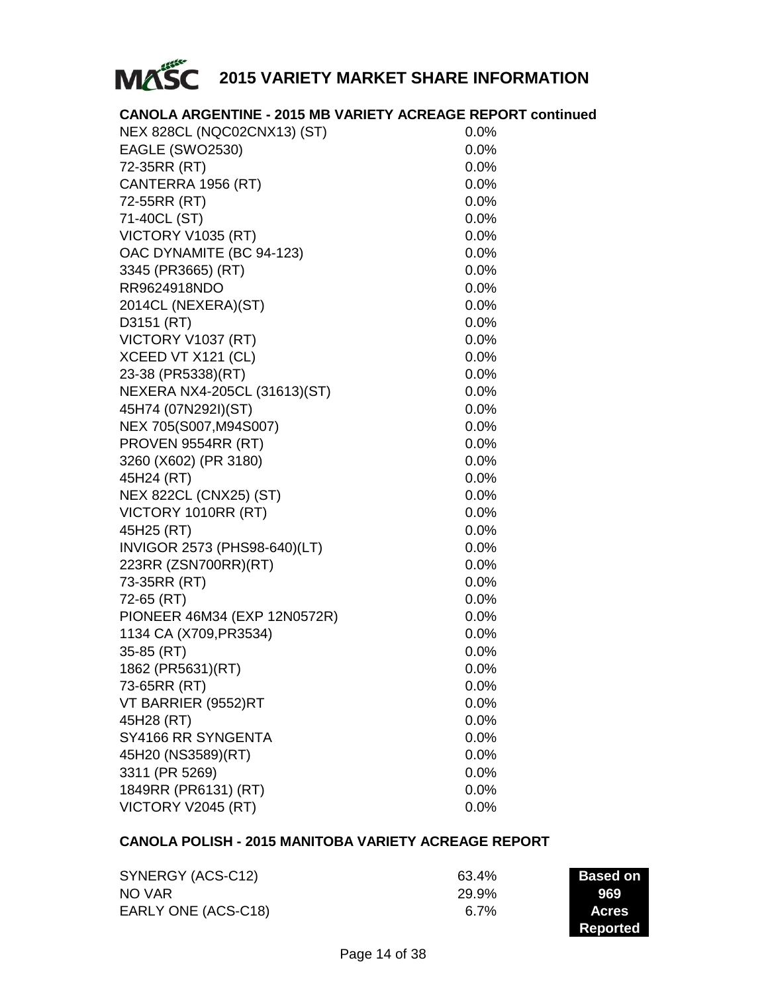

| <b>CANOLA ARGENTINE - 2015 MB VARIETY ACREAGE REPORT continued</b> |  |  |  |
|--------------------------------------------------------------------|--|--|--|
|--------------------------------------------------------------------|--|--|--|

| NEX 828CL (NQC02CNX13) (ST)   | 0.0%    |
|-------------------------------|---------|
| EAGLE (SWO2530)               | 0.0%    |
| 72-35RR (RT)                  | 0.0%    |
| CANTERRA 1956 (RT)            | 0.0%    |
| 72-55RR (RT)                  | 0.0%    |
| 71-40CL (ST)                  | 0.0%    |
| VICTORY V1035 (RT)            | 0.0%    |
| OAC DYNAMITE (BC 94-123)      | 0.0%    |
| 3345 (PR3665) (RT)            | 0.0%    |
| RR9624918NDO                  | 0.0%    |
| 2014CL (NEXERA)(ST)           | 0.0%    |
| D3151 (RT)                    | 0.0%    |
| VICTORY V1037 (RT)            | 0.0%    |
| XCEED VT X121 (CL)            | 0.0%    |
| 23-38 (PR5338)(RT)            | 0.0%    |
| NEXERA NX4-205CL (31613)(ST)  | 0.0%    |
| 45H74 (07N292I)(ST)           | 0.0%    |
| NEX 705(S007, M94S007)        | $0.0\%$ |
| PROVEN 9554RR (RT)            | 0.0%    |
| 3260 (X602) (PR 3180)         | 0.0%    |
| 45H24 (RT)                    | 0.0%    |
| <b>NEX 822CL (CNX25) (ST)</b> | 0.0%    |
| VICTORY 1010RR (RT)           | 0.0%    |
| 45H25 (RT)                    | 0.0%    |
| INVIGOR 2573 (PHS98-640)(LT)  | $0.0\%$ |
| 223RR (ZSN700RR)(RT)          | 0.0%    |
| 73-35RR (RT)                  | 0.0%    |
| 72-65 (RT)                    | 0.0%    |
| PIONEER 46M34 (EXP 12N0572R)  | 0.0%    |
| 1134 CA (X709, PR3534)        | 0.0%    |
| 35-85 (RT)                    | 0.0%    |
| 1862 (PR5631)(RT)             | 0.0%    |
| 73-65RR (RT)                  | 0.0%    |
| VT BARRIER (9552)RT           | 0.0%    |
| 45H28 (RT)                    | 0.0%    |
| SY4166 RR SYNGENTA            | 0.0%    |
| 45H20 (NS3589)(RT)            | 0.0%    |
| 3311 (PR 5269)                | 0.0%    |
| 1849RR (PR6131) (RT)          | 0.0%    |
| VICTORY V2045 (RT)            | 0.0%    |

#### **CANOLA POLISH - 2015 MANITOBA VARIETY ACREAGE REPORT**

| SYNERGY (ACS-C12)   | 63.4% | <b>Based on</b> |
|---------------------|-------|-----------------|
| NO VAR              | 29.9% | 969             |
| EARLY ONE (ACS-C18) | 6 7%  | <b>Acres</b>    |
|                     |       | Reported        |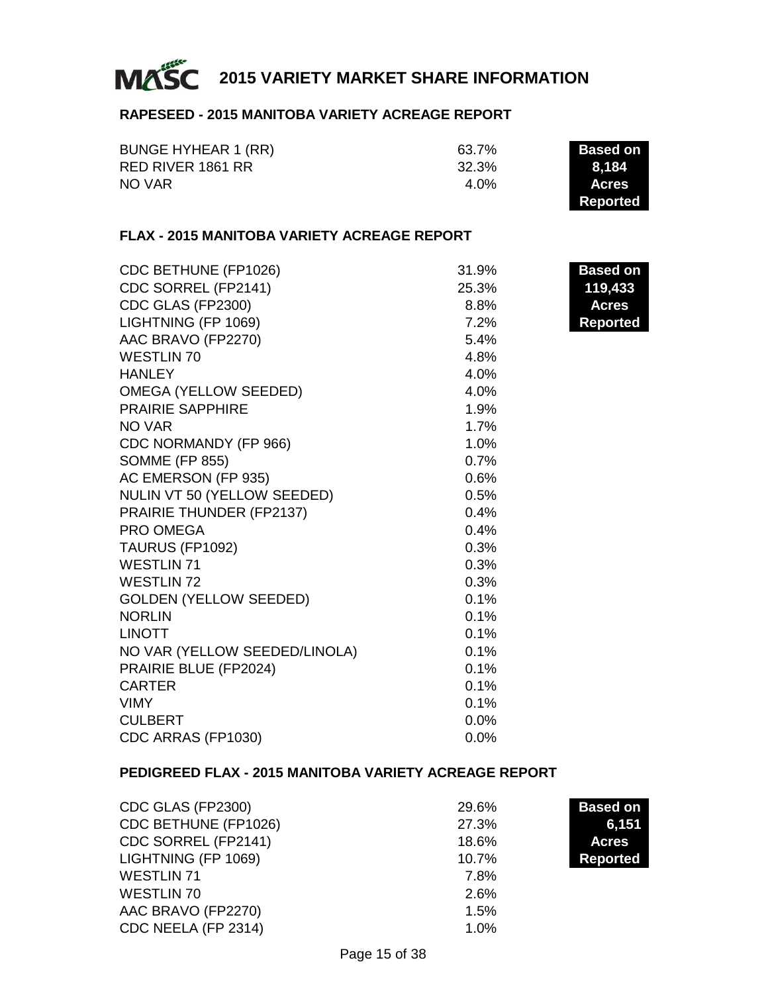

#### **RAPESEED - 2015 MANITOBA VARIETY ACREAGE REPORT**

| BUNGE HYHEAR 1 (RR) | 63.7% | Based on     |
|---------------------|-------|--------------|
| RED RIVER 1861 RR   | 32.3% | 8.184        |
| NO VAR              | 4 በ%  | <b>Acres</b> |
|                     |       | Reported     |

#### **FLAX - 2015 MANITOBA VARIETY ACREAGE REPORT**

| CDC BETHUNE (FP1026)          | 31.9%   | Based on        |
|-------------------------------|---------|-----------------|
| CDC SORREL (FP2141)           | 25.3%   | 119,433         |
| CDC GLAS (FP2300)             | 8.8%    | <b>Acres</b>    |
| LIGHTNING (FP 1069)           | 7.2%    | <b>Reported</b> |
| AAC BRAVO (FP2270)            | 5.4%    |                 |
| <b>WESTLIN 70</b>             | 4.8%    |                 |
| <b>HANLEY</b>                 | 4.0%    |                 |
| <b>OMEGA (YELLOW SEEDED)</b>  | 4.0%    |                 |
| <b>PRAIRIE SAPPHIRE</b>       | 1.9%    |                 |
| NO VAR                        | 1.7%    |                 |
| CDC NORMANDY (FP 966)         | 1.0%    |                 |
| <b>SOMME (FP 855)</b>         | 0.7%    |                 |
| AC EMERSON (FP 935)           | 0.6%    |                 |
| NULIN VT 50 (YELLOW SEEDED)   | 0.5%    |                 |
| PRAIRIE THUNDER (FP2137)      | 0.4%    |                 |
| PRO OMEGA                     | 0.4%    |                 |
| TAURUS (FP1092)               | 0.3%    |                 |
| <b>WESTLIN 71</b>             | 0.3%    |                 |
| <b>WESTLIN 72</b>             | 0.3%    |                 |
| <b>GOLDEN (YELLOW SEEDED)</b> | 0.1%    |                 |
| <b>NORLIN</b>                 | 0.1%    |                 |
| <b>LINOTT</b>                 | 0.1%    |                 |
| NO VAR (YELLOW SEEDED/LINOLA) | 0.1%    |                 |
| PRAIRIE BLUE (FP2024)         | 0.1%    |                 |
| <b>CARTER</b>                 | 0.1%    |                 |
| <b>VIMY</b>                   | 0.1%    |                 |
| <b>CULBERT</b>                | $0.0\%$ |                 |
| CDC ARRAS (FP1030)            | 0.0%    |                 |
|                               |         |                 |

#### **PEDIGREED FLAX - 2015 MANITOBA VARIETY ACREAGE REPORT**

| CDC GLAS (FP2300)    | 29.6% | <b>Based on</b> |
|----------------------|-------|-----------------|
| CDC BETHUNE (FP1026) | 27.3% | 6,151           |
| CDC SORREL (FP2141)  | 18.6% | <b>Acres</b>    |
| LIGHTNING (FP 1069)  | 10.7% | <b>Reported</b> |
| <b>WESTLIN 71</b>    | 7.8%  |                 |
| WESTLIN 70           | 2.6%  |                 |
| AAC BRAVO (FP2270)   | 1.5%  |                 |
| CDC NEELA (FP 2314)  | 1.0%  |                 |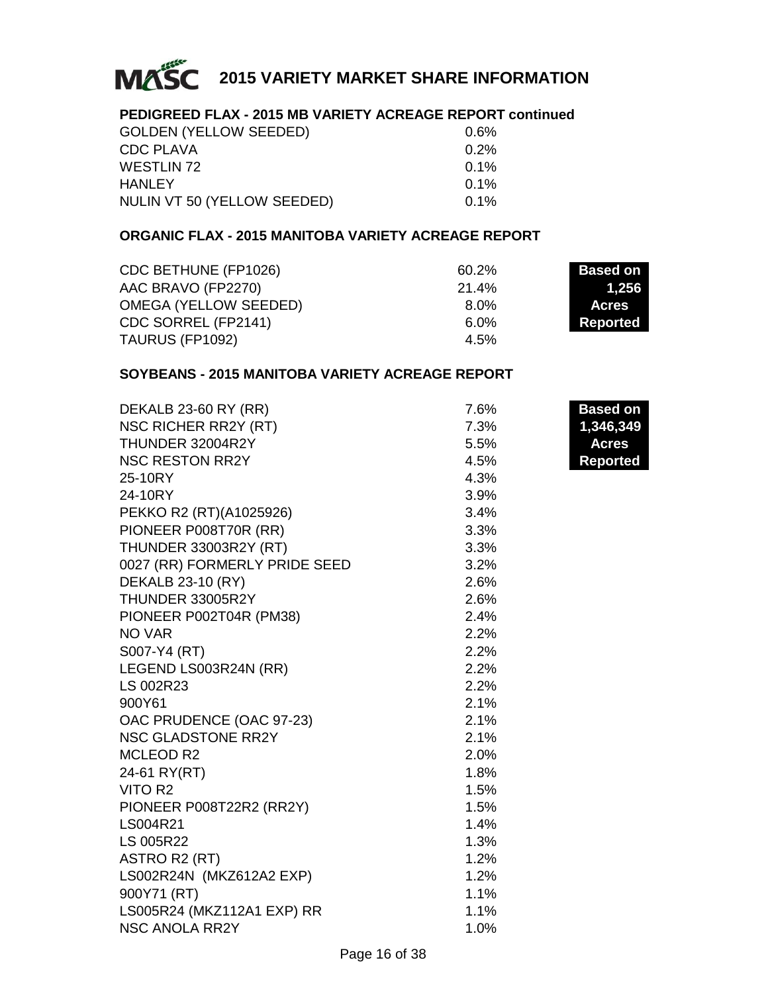

#### **PEDIGREED FLAX - 2015 MB VARIETY ACREAGE REPORT continued**

| <b>GOLDEN (YELLOW SEEDED)</b> | $0.6\%$ |
|-------------------------------|---------|
| CDC PLAVA                     | $0.2\%$ |
| WESTLIN 72                    | $0.1\%$ |
| HANLEY                        | 0.1%    |
| NULIN VT 50 (YELLOW SEEDED)   | $0.1\%$ |

#### **ORGANIC FLAX - 2015 MANITOBA VARIETY ACREAGE REPORT**

| CDC BETHUNE (FP1026)  | 60.2% | <b>Based on</b> |
|-----------------------|-------|-----------------|
| AAC BRAVO (FP2270)    | 21.4% | 1.256           |
| OMEGA (YELLOW SEEDED) | 8.0%  | <b>Acres</b>    |
| CDC SORREL (FP2141)   | 6.0%  | Reported        |
| TAURUS (FP1092)       | 4.5%  |                 |

#### **SOYBEANS - 2015 MANITOBA VARIETY ACREAGE REPORT**

| DEKALB 23-60 RY (RR)          | 7.6% | <b>Based on</b> |
|-------------------------------|------|-----------------|
| <b>NSC RICHER RR2Y (RT)</b>   | 7.3% | 1,346,349       |
| THUNDER 32004R2Y              | 5.5% | <b>Acres</b>    |
| <b>NSC RESTON RR2Y</b>        | 4.5% | <b>Reported</b> |
| 25-10RY                       | 4.3% |                 |
| 24-10RY                       | 3.9% |                 |
| PEKKO R2 (RT)(A1025926)       | 3.4% |                 |
| PIONEER P008T70R (RR)         | 3.3% |                 |
| <b>THUNDER 33003R2Y (RT)</b>  | 3.3% |                 |
| 0027 (RR) FORMERLY PRIDE SEED | 3.2% |                 |
| DEKALB 23-10 (RY)             | 2.6% |                 |
| THUNDER 33005R2Y              | 2.6% |                 |
| PIONEER P002T04R (PM38)       | 2.4% |                 |
| NO VAR                        | 2.2% |                 |
| S007-Y4 (RT)                  | 2.2% |                 |
| LEGEND LS003R24N (RR)         | 2.2% |                 |
| LS 002R23                     | 2.2% |                 |
| 900Y61                        | 2.1% |                 |
| OAC PRUDENCE (OAC 97-23)      | 2.1% |                 |
| NSC GLADSTONE RR2Y            | 2.1% |                 |
| MCLEOD R2                     | 2.0% |                 |
| 24-61 RY(RT)                  | 1.8% |                 |
| VITO R <sub>2</sub>           | 1.5% |                 |
| PIONEER P008T22R2 (RR2Y)      | 1.5% |                 |
| LS004R21                      | 1.4% |                 |
| LS 005R22                     | 1.3% |                 |
| ASTRO R2 (RT)                 | 1.2% |                 |
| LS002R24N (MKZ612A2 EXP)      | 1.2% |                 |
| 900Y71 (RT)                   | 1.1% |                 |
| LS005R24 (MKZ112A1 EXP) RR    | 1.1% |                 |
| <b>NSC ANOLA RR2Y</b>         | 1.0% |                 |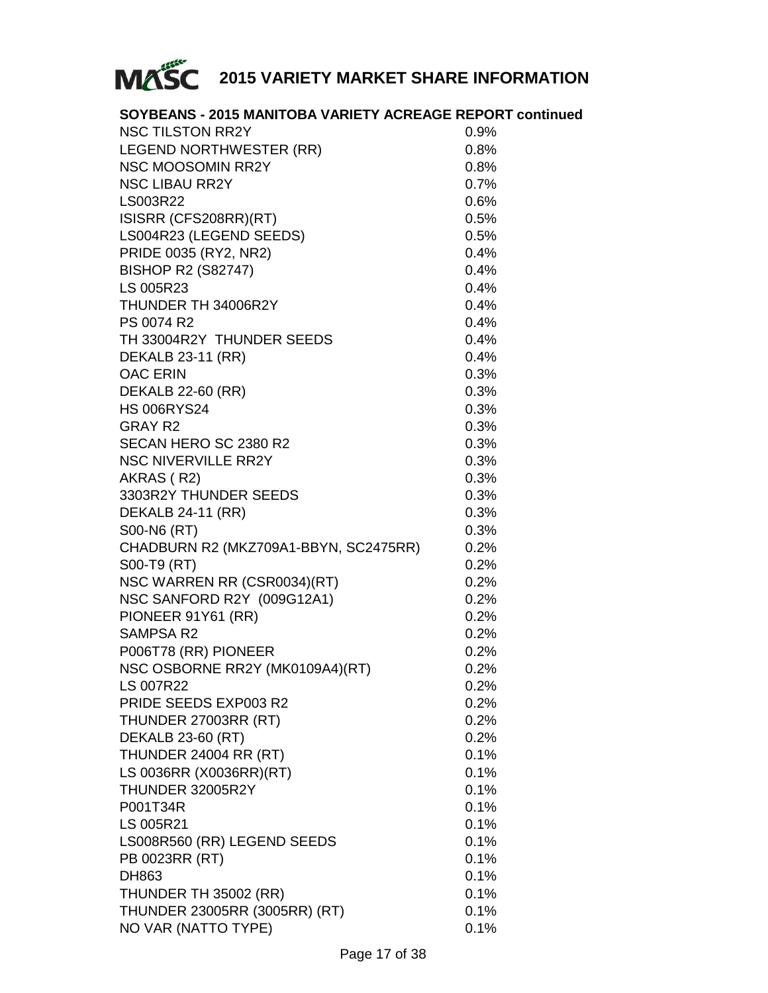

| SOYBEANS - 2015 MANITOBA VARIETY ACREAGE REPORT continued |      |
|-----------------------------------------------------------|------|
| <b>NSC TILSTON RR2Y</b>                                   | 0.9% |
| LEGEND NORTHWESTER (RR)                                   | 0.8% |
| <b>NSC MOOSOMIN RR2Y</b>                                  | 0.8% |
| <b>NSC LIBAU RR2Y</b>                                     | 0.7% |
| LS003R22                                                  | 0.6% |
| ISISRR (CFS208RR)(RT)                                     | 0.5% |
| LS004R23 (LEGEND SEEDS)                                   | 0.5% |
| PRIDE 0035 (RY2, NR2)                                     | 0.4% |
| <b>BISHOP R2 (S82747)</b>                                 | 0.4% |
| LS 005R23                                                 | 0.4% |
| THUNDER TH 34006R2Y                                       | 0.4% |
| PS 0074 R2                                                | 0.4% |
| TH 33004R2Y THUNDER SEEDS                                 | 0.4% |
| <b>DEKALB 23-11 (RR)</b>                                  | 0.4% |
| <b>OAC ERIN</b>                                           | 0.3% |
| DEKALB 22-60 (RR)                                         | 0.3% |
| <b>HS 006RYS24</b>                                        | 0.3% |
| GRAY R2                                                   | 0.3% |
| SECAN HERO SC 2380 R2                                     | 0.3% |
| <b>NSC NIVERVILLE RR2Y</b>                                | 0.3% |
| AKRAS (R2)                                                | 0.3% |
| 3303R2Y THUNDER SEEDS                                     | 0.3% |
| <b>DEKALB 24-11 (RR)</b>                                  | 0.3% |
| S00-N6 (RT)                                               | 0.3% |
| CHADBURN R2 (MKZ709A1-BBYN, SC2475RR)                     | 0.2% |
| S00-T9 (RT)                                               | 0.2% |
| NSC WARREN RR (CSR0034)(RT)                               | 0.2% |
| NSC SANFORD R2Y (009G12A1)                                | 0.2% |
| PIONEER 91Y61 (RR)                                        | 0.2% |
| <b>SAMPSA R2</b>                                          | 0.2% |
| P006T78 (RR) PIONEER                                      | 0.2% |
| NSC OSBORNE RR2Y (MK0109A4)(RT)                           | 0.2% |
| <b>LS 007R22</b>                                          | 0.2% |
| PRIDE SEEDS EXP003 R2                                     | 0.2% |
| THUNDER 27003RR (RT)                                      | 0.2% |
| <b>DEKALB 23-60 (RT)</b>                                  | 0.2% |
| THUNDER 24004 RR (RT)                                     | 0.1% |
| LS 0036RR (X0036RR)(RT)                                   | 0.1% |
| THUNDER 32005R2Y                                          | 0.1% |
| P001T34R                                                  | 0.1% |
| LS 005R21                                                 | 0.1% |
| LS008R560 (RR) LEGEND SEEDS                               | 0.1% |
| PB 0023RR (RT)                                            | 0.1% |
| DH863                                                     | 0.1% |
| THUNDER TH 35002 (RR)                                     | 0.1% |
| THUNDER 23005RR (3005RR) (RT)                             | 0.1% |
| NO VAR (NATTO TYPE)                                       | 0.1% |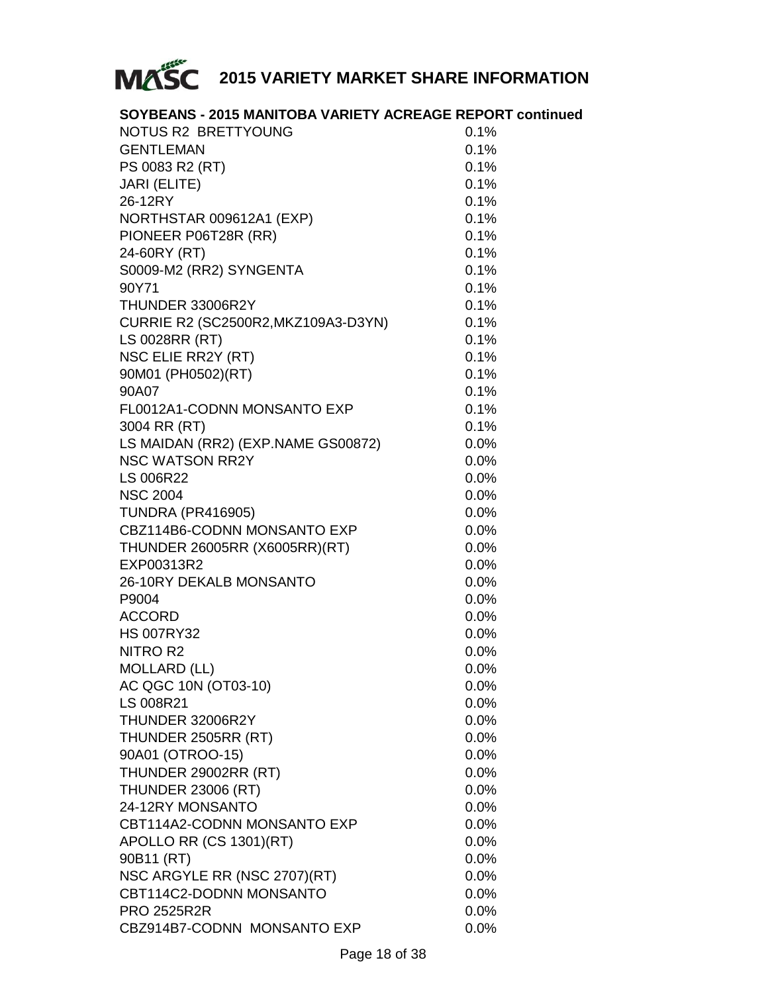

| SOYBEANS - 2015 MANITOBA VARIETY ACREAGE REPORT continued |         |
|-----------------------------------------------------------|---------|
| NOTUS R2 BRETTYOUNG                                       | 0.1%    |
| <b>GENTLEMAN</b>                                          | 0.1%    |
| PS 0083 R2 (RT)                                           | 0.1%    |
| JARI (ELITE)                                              | 0.1%    |
| 26-12RY                                                   | 0.1%    |
| NORTHSTAR 009612A1 (EXP)                                  | 0.1%    |
| PIONEER P06T28R (RR)                                      | 0.1%    |
| 24-60RY (RT)                                              | 0.1%    |
| S0009-M2 (RR2) SYNGENTA                                   | 0.1%    |
| 90Y71                                                     | 0.1%    |
| THUNDER 33006R2Y                                          | 0.1%    |
| CURRIE R2 (SC2500R2, MKZ109A3-D3YN)                       | 0.1%    |
| LS 0028RR (RT)                                            | 0.1%    |
| NSC ELIE RR2Y (RT)                                        | 0.1%    |
| 90M01 (PH0502)(RT)                                        | 0.1%    |
| 90A07                                                     | 0.1%    |
| FL0012A1-CODNN MONSANTO EXP                               | 0.1%    |
| 3004 RR (RT)                                              | 0.1%    |
| LS MAIDAN (RR2) (EXP.NAME GS00872)                        | 0.0%    |
| <b>NSC WATSON RR2Y</b>                                    | 0.0%    |
| LS 006R22                                                 | 0.0%    |
| <b>NSC 2004</b>                                           | 0.0%    |
| <b>TUNDRA (PR416905)</b>                                  | 0.0%    |
| CBZ114B6-CODNN MONSANTO EXP                               | 0.0%    |
| THUNDER 26005RR (X6005RR)(RT)                             | 0.0%    |
| EXP00313R2                                                | 0.0%    |
| 26-10RY DEKALB MONSANTO                                   | 0.0%    |
| P9004                                                     | $0.0\%$ |
| <b>ACCORD</b>                                             | 0.0%    |
| <b>HS 007RY32</b>                                         | $0.0\%$ |
| NITRO R2                                                  | 0.0%    |
| <b>MOLLARD (LL)</b>                                       | $0.0\%$ |
| AC QGC 10N (OT03-10)                                      | $0.0\%$ |
| LS 008R21                                                 | 0.0%    |
| THUNDER 32006R2Y                                          | $0.0\%$ |
| THUNDER 2505RR (RT)                                       | $0.0\%$ |
| 90A01 (OTROO-15)                                          | 0.0%    |
| THUNDER 29002RR (RT)                                      | 0.0%    |
| <b>THUNDER 23006 (RT)</b>                                 | 0.0%    |
| 24-12RY MONSANTO                                          | 0.0%    |
| CBT114A2-CODNN MONSANTO EXP                               | 0.0%    |
| APOLLO RR (CS 1301)(RT)                                   | 0.0%    |
| 90B11 (RT)                                                | 0.0%    |
| NSC ARGYLE RR (NSC 2707)(RT)                              | 0.0%    |
| CBT114C2-DODNN MONSANTO                                   | 0.0%    |
| <b>PRO 2525R2R</b>                                        | 0.0%    |
| CBZ914B7-CODNN MONSANTO EXP                               | 0.0%    |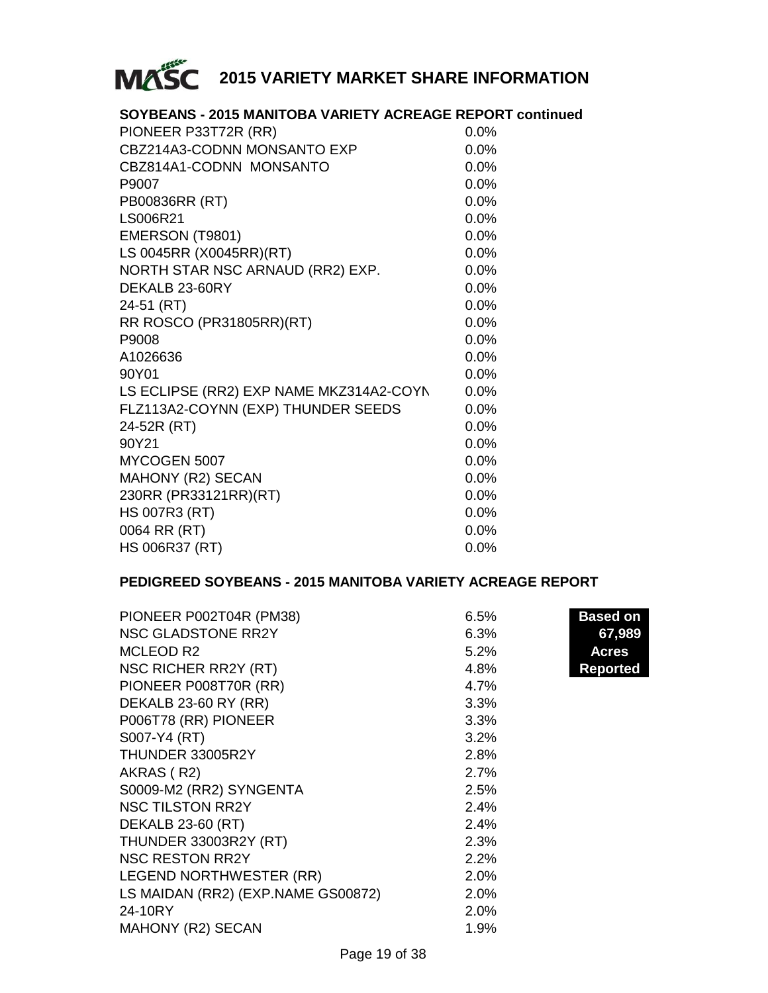

| SOYBEANS - 2015 MANITOBA VARIETY ACREAGE REPORT continued |         |
|-----------------------------------------------------------|---------|
| PIONEER P33T72R (RR)                                      | $0.0\%$ |
| CBZ214A3-CODNN MONSANTO EXP                               | 0.0%    |
| CBZ814A1-CODNN MONSANTO                                   | 0.0%    |
| P9007                                                     | 0.0%    |
| PB00836RR (RT)                                            | 0.0%    |
| LS006R21                                                  | $0.0\%$ |
| EMERSON (T9801)                                           | $0.0\%$ |
| LS 0045RR (X0045RR)(RT)                                   | 0.0%    |
| NORTH STAR NSC ARNAUD (RR2) EXP.                          | $0.0\%$ |
| DEKALB 23-60RY                                            | 0.0%    |
| 24-51 (RT)                                                | 0.0%    |
| RR ROSCO (PR31805RR)(RT)                                  | 0.0%    |
| P9008                                                     | $0.0\%$ |
| A1026636                                                  | 0.0%    |
| 90Y01                                                     | 0.0%    |
| LS ECLIPSE (RR2) EXP NAME MKZ314A2-COYN                   | $0.0\%$ |
| FLZ113A2-COYNN (EXP) THUNDER SEEDS                        | 0.0%    |
| 24-52R (RT)                                               | $0.0\%$ |
| 90Y21                                                     | 0.0%    |
| MYCOGEN 5007                                              | $0.0\%$ |
| MAHONY (R2) SECAN                                         | $0.0\%$ |
| 230RR (PR33121RR)(RT)                                     | 0.0%    |
| <b>HS 007R3 (RT)</b>                                      | 0.0%    |
| 0064 RR (RT)                                              | 0.0%    |
| <b>HS 006R37 (RT)</b>                                     | 0.0%    |

#### **PEDIGREED SOYBEANS - 2015 MANITOBA VARIETY ACREAGE REPORT**

| PIONEER P002T04R (PM38)            | 6.5% | <b>Based on</b> |
|------------------------------------|------|-----------------|
| <b>NSC GLADSTONE RR2Y</b>          | 6.3% | 67,989          |
| MCLEOD R2                          | 5.2% | Acres           |
| NSC RICHER RR2Y (RT)               | 4.8% | <b>Reported</b> |
| PIONEER P008T70R (RR)              | 4.7% |                 |
| DEKALB 23-60 RY (RR)               | 3.3% |                 |
| P006T78 (RR) PIONEER               | 3.3% |                 |
| S007-Y4 (RT)                       | 3.2% |                 |
| THUNDER 33005R2Y                   | 2.8% |                 |
| AKRAS (R2)                         | 2.7% |                 |
| S0009-M2 (RR2) SYNGENTA            | 2.5% |                 |
| <b>NSC TILSTON RR2Y</b>            | 2.4% |                 |
| <b>DEKALB 23-60 (RT)</b>           | 2.4% |                 |
| <b>THUNDER 33003R2Y (RT)</b>       | 2.3% |                 |
| <b>NSC RESTON RR2Y</b>             | 2.2% |                 |
| LEGEND NORTHWESTER (RR)            | 2.0% |                 |
| LS MAIDAN (RR2) (EXP.NAME GS00872) | 2.0% |                 |
| 24-10RY                            | 2.0% |                 |
| MAHONY (R2) SECAN                  | 1.9% |                 |
|                                    |      |                 |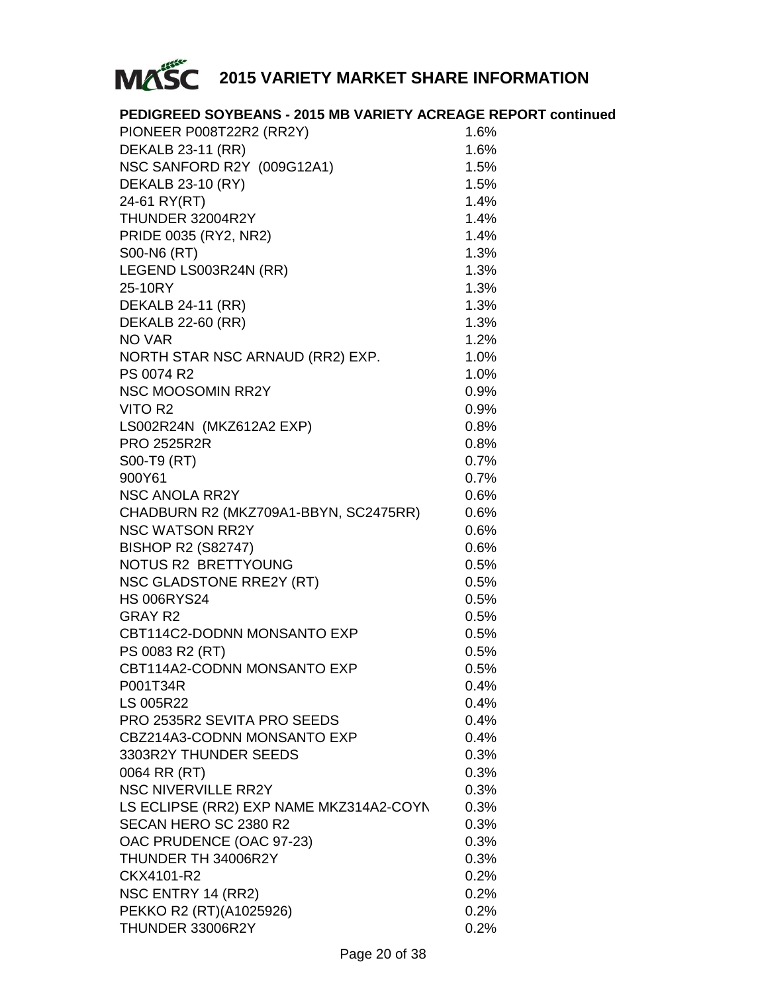

| PEDIGREED SOYBEANS - 2015 MB VARIETY ACREAGE REPORT continued |      |
|---------------------------------------------------------------|------|
| PIONEER P008T22R2 (RR2Y)                                      | 1.6% |
| DEKALB 23-11 (RR)                                             | 1.6% |
| NSC SANFORD R2Y (009G12A1)                                    | 1.5% |
| DEKALB 23-10 (RY)                                             | 1.5% |
| 24-61 RY(RT)                                                  | 1.4% |
| THUNDER 32004R2Y                                              | 1.4% |
| PRIDE 0035 (RY2, NR2)                                         | 1.4% |
| S00-N6 (RT)                                                   | 1.3% |
| LEGEND LS003R24N (RR)                                         | 1.3% |
| 25-10RY                                                       | 1.3% |
| <b>DEKALB 24-11 (RR)</b>                                      | 1.3% |
| <b>DEKALB 22-60 (RR)</b>                                      | 1.3% |
| NO VAR                                                        | 1.2% |
| NORTH STAR NSC ARNAUD (RR2) EXP.                              | 1.0% |
| PS 0074 R2                                                    | 1.0% |
| <b>NSC MOOSOMIN RR2Y</b>                                      | 0.9% |
| VITO R2                                                       | 0.9% |
| LS002R24N (MKZ612A2 EXP)                                      | 0.8% |
| <b>PRO 2525R2R</b>                                            | 0.8% |
| S00-T9 (RT)                                                   | 0.7% |
| 900Y61                                                        | 0.7% |
| <b>NSC ANOLA RR2Y</b>                                         | 0.6% |
| CHADBURN R2 (MKZ709A1-BBYN, SC2475RR)                         | 0.6% |
| <b>NSC WATSON RR2Y</b>                                        | 0.6% |
| <b>BISHOP R2 (S82747)</b>                                     | 0.6% |
| NOTUS R2 BRETTYOUNG                                           | 0.5% |
| NSC GLADSTONE RRE2Y (RT)                                      | 0.5% |
| <b>HS 006RYS24</b>                                            | 0.5% |
| GRAY R2                                                       | 0.5% |
| CBT114C2-DODNN MONSANTO EXP                                   | 0.5% |
| PS 0083 R2 (RT)                                               | 0.5% |
| CBT114A2-CODNN MONSANTO EXP                                   | 0.5% |
| P001T34R                                                      | 0.4% |
| LS 005R22                                                     | 0.4% |
| PRO 2535R2 SEVITA PRO SEEDS                                   | 0.4% |
| CBZ214A3-CODNN MONSANTO EXP                                   | 0.4% |
| 3303R2Y THUNDER SEEDS                                         | 0.3% |
| 0064 RR (RT)                                                  | 0.3% |
| <b>NSC NIVERVILLE RR2Y</b>                                    | 0.3% |
| LS ECLIPSE (RR2) EXP NAME MKZ314A2-COYN                       | 0.3% |
| SECAN HERO SC 2380 R2                                         | 0.3% |
| OAC PRUDENCE (OAC 97-23)                                      | 0.3% |
| THUNDER TH 34006R2Y                                           | 0.3% |
| CKX4101-R2                                                    | 0.2% |
| NSC ENTRY 14 (RR2)                                            | 0.2% |
| PEKKO R2 (RT)(A1025926)                                       | 0.2% |
| THUNDER 33006R2Y                                              | 0.2% |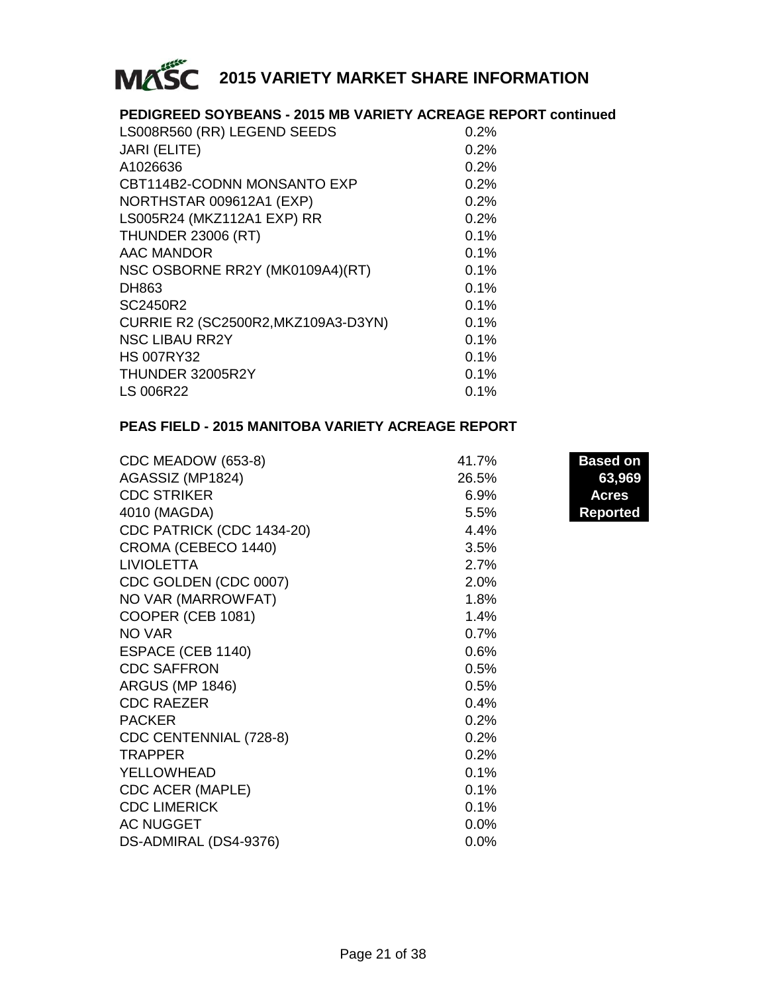

#### **PEDIGREED SOYBEANS - 2015 MB VARIETY ACREAGE REPORT continued**

| LS008R560 (RR) LEGEND SEEDS         | 0.2%    |
|-------------------------------------|---------|
| <b>JARI (ELITE)</b>                 | 0.2%    |
| A1026636                            | 0.2%    |
| CBT114B2-CODNN MONSANTO EXP         | 0.2%    |
| NORTHSTAR 009612A1 (EXP)            | 0.2%    |
| LS005R24 (MKZ112A1 EXP) RR          | 0.2%    |
| <b>THUNDER 23006 (RT)</b>           | 0.1%    |
| AAC MANDOR                          | 0.1%    |
| NSC OSBORNE RR2Y (MK0109A4)(RT)     | $0.1\%$ |
| DH863                               | 0.1%    |
| SC2450R2                            | 0.1%    |
| CURRIE R2 (SC2500R2, MKZ109A3-D3YN) | 0.1%    |
| <b>NSC LIBAU RR2Y</b>               | 0.1%    |
| <b>HS 007RY32</b>                   | 0.1%    |
| THUNDER 32005R2Y                    | $0.1\%$ |
| LS 006R22                           | $0.1\%$ |
|                                     |         |

#### **PEAS FIELD - 2015 MANITOBA VARIETY ACREAGE REPORT**

| CDC MEADOW (653-8)        | 41.7%   | <b>Based on</b> |
|---------------------------|---------|-----------------|
| AGASSIZ (MP1824)          | 26.5%   | 63,969          |
| <b>CDC STRIKER</b>        | 6.9%    | Acres           |
| 4010 (MAGDA)              | 5.5%    | <b>Reported</b> |
| CDC PATRICK (CDC 1434-20) | 4.4%    |                 |
| CROMA (CEBECO 1440)       | 3.5%    |                 |
| <b>LIVIOLETTA</b>         | 2.7%    |                 |
| CDC GOLDEN (CDC 0007)     | 2.0%    |                 |
| NO VAR (MARROWFAT)        | 1.8%    |                 |
| COOPER (CEB 1081)         | 1.4%    |                 |
| NO VAR                    | 0.7%    |                 |
| ESPACE (CEB 1140)         | 0.6%    |                 |
| <b>CDC SAFFRON</b>        | 0.5%    |                 |
| <b>ARGUS (MP 1846)</b>    | 0.5%    |                 |
| <b>CDC RAEZER</b>         | 0.4%    |                 |
| <b>PACKER</b>             | 0.2%    |                 |
| CDC CENTENNIAL (728-8)    | 0.2%    |                 |
| <b>TRAPPER</b>            | 0.2%    |                 |
| YELLOWHEAD                | 0.1%    |                 |
| CDC ACER (MAPLE)          | 0.1%    |                 |
| <b>CDC LIMERICK</b>       | 0.1%    |                 |
| <b>AC NUGGET</b>          | 0.0%    |                 |
| DS-ADMIRAL (DS4-9376)     | $0.0\%$ |                 |

**Based on Reported**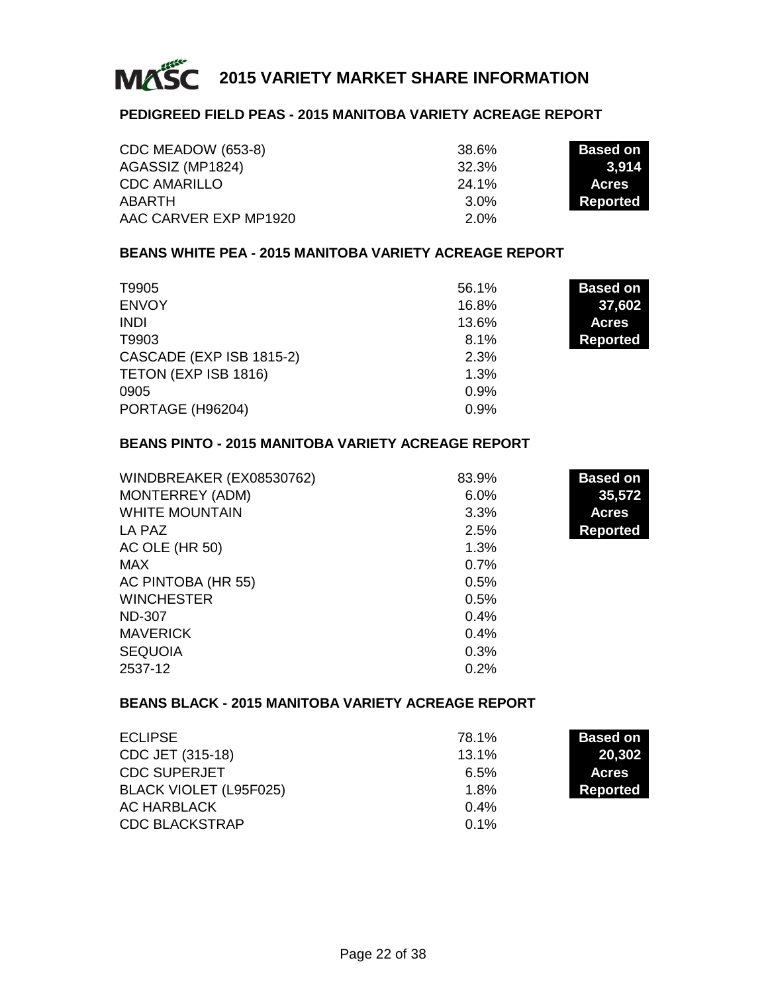

#### **PEDIGREED FIELD PEAS - 2015 MANITOBA VARIETY ACREAGE REPORT**

| CDC MEADOW (653-8)    | 38.6%   | <b>Based on</b> |
|-----------------------|---------|-----------------|
| AGASSIZ (MP1824)      | 32.3%   | 3.914           |
| <b>CDC AMARILLO</b>   | 24.1%   | <b>Acres</b>    |
| ABARTH                | $3.0\%$ | Reported        |
| AAC CARVER EXP MP1920 | $2.0\%$ |                 |

#### **BEANS WHITE PEA - 2015 MANITOBA VARIETY ACREAGE REPORT**

| T9905                    | 56.1% | <b>Based on</b> |
|--------------------------|-------|-----------------|
| <b>ENVOY</b>             | 16.8% | 37,602          |
| <b>INDI</b>              | 13.6% | <b>Acres</b>    |
| T9903                    | 8.1%  | <b>Reported</b> |
| CASCADE (EXP ISB 1815-2) | 2.3%  |                 |
| TETON (EXP ISB 1816)     | 1.3%  |                 |
| 0905                     | 0.9%  |                 |
| PORTAGE (H96204)         | 0.9%  |                 |

#### **BEANS PINTO - 2015 MANITOBA VARIETY ACREAGE REPORT**

| WINDBREAKER (EX08530762) | 83.9% | <b>Based on</b> |
|--------------------------|-------|-----------------|
| MONTERREY (ADM)          | 6.0%  | 35,572          |
| <b>WHITE MOUNTAIN</b>    | 3.3%  | <b>Acres</b>    |
| LA PAZ                   | 2.5%  | <b>Reported</b> |
| AC OLE (HR 50)           | 1.3%  |                 |
| MAX                      | 0.7%  |                 |
| AC PINTOBA (HR 55)       | 0.5%  |                 |
| <b>WINCHESTER</b>        | 0.5%  |                 |
| <b>ND-307</b>            | 0.4%  |                 |
| <b>MAVERICK</b>          | 0.4%  |                 |
| <b>SEQUOIA</b>           | 0.3%  |                 |
| 2537-12                  | 0.2%  |                 |

#### **BEANS BLACK - 2015 MANITOBA VARIETY ACREAGE REPORT**

| <b>ECLIPSE</b>         | 78.1%   | <b>Based on</b> |
|------------------------|---------|-----------------|
| CDC JET (315-18)       | 13.1%   | 20.302          |
| <b>CDC SUPERJET</b>    | 6.5%    | <b>Acres</b>    |
| BLACK VIOLET (L95F025) | 1.8%    | <b>Reported</b> |
| AC HARBLACK            | $0.4\%$ |                 |
| <b>CDC BLACKSTRAP</b>  | 0.1%    |                 |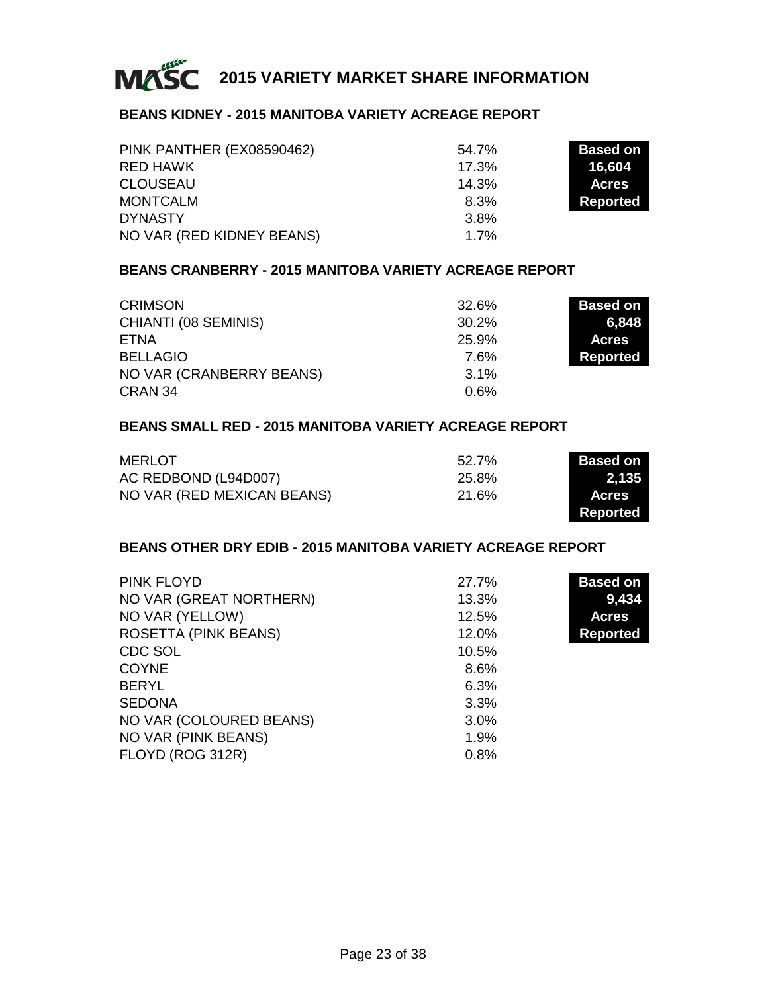

#### **BEANS KIDNEY - 2015 MANITOBA VARIETY ACREAGE REPORT**

| PINK PANTHER (EX08590462) | 54.7% | <b>Based on</b> |
|---------------------------|-------|-----------------|
| RED HAWK                  | 17.3% | 16.604          |
| <b>CLOUSEAU</b>           | 14.3% | <b>Acres</b>    |
| <b>MONTCALM</b>           | 8.3%  | Reported        |
| <b>DYNASTY</b>            | 3.8%  |                 |
| NO VAR (RED KIDNEY BEANS) | 1.7%  |                 |

#### **BEANS CRANBERRY - 2015 MANITOBA VARIETY ACREAGE REPORT**

| <b>CRIMSON</b>           | 32.6%   | <b>Based on</b> |
|--------------------------|---------|-----------------|
| CHIANTI (08 SEMINIS)     | 30.2%   | 6.848           |
| ETNA                     | 25.9%   | <b>Acres</b>    |
| <b>BELLAGIO</b>          | 7.6%    | <b>Reported</b> |
| NO VAR (CRANBERRY BEANS) | $3.1\%$ |                 |
| CRAN 34                  | $0.6\%$ |                 |

#### **BEANS SMALL RED - 2015 MANITOBA VARIETY ACREAGE REPORT**

| MERLOT                     | 52.7% | <b>Based on I</b> |
|----------------------------|-------|-------------------|
| AC REDBOND (L94D007)       | 25.8% | 2.135             |
| NO VAR (RED MEXICAN BEANS) | 21.6% | <b>Acres</b>      |
|                            |       | <b>Reported</b>   |

#### **BEANS OTHER DRY EDIB - 2015 MANITOBA VARIETY ACREAGE REPORT**

| PINK FLOYD              | 27.7% | <b>Based on</b> |
|-------------------------|-------|-----------------|
| NO VAR (GREAT NORTHERN) | 13.3% | 9,434           |
| NO VAR (YELLOW)         | 12.5% | <b>Acres</b>    |
| ROSETTA (PINK BEANS)    | 12.0% | <b>Reported</b> |
| CDC SOL                 | 10.5% |                 |
| <b>COYNE</b>            | 8.6%  |                 |
| <b>BERYL</b>            | 6.3%  |                 |
| <b>SEDONA</b>           | 3.3%  |                 |
| NO VAR (COLOURED BEANS) | 3.0%  |                 |
| NO VAR (PINK BEANS)     | 1.9%  |                 |
| FLOYD (ROG 312R)        | 0.8%  |                 |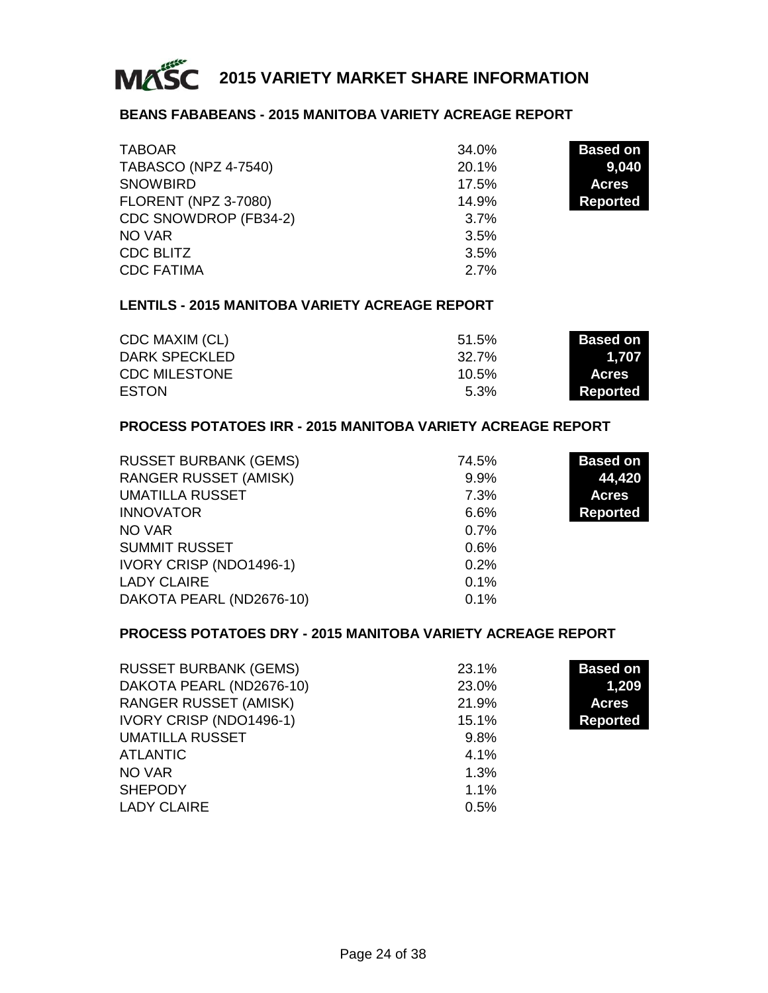

#### **BEANS FABABEANS - 2015 MANITOBA VARIETY ACREAGE REPORT**

| <b>TABOAR</b>               | 34.0% | <b>Based on</b> |
|-----------------------------|-------|-----------------|
| <b>TABASCO (NPZ 4-7540)</b> | 20.1% | 9,040           |
| <b>SNOWBIRD</b>             | 17.5% | <b>Acres</b>    |
| <b>FLORENT (NPZ 3-7080)</b> | 14.9% | <b>Reported</b> |
| CDC SNOWDROP (FB34-2)       | 3.7%  |                 |
| NO VAR                      | 3.5%  |                 |
| CDC BLITZ                   | 3.5%  |                 |
| <b>CDC FATIMA</b>           | 2.7%  |                 |

#### **LENTILS - 2015 MANITOBA VARIETY ACREAGE REPORT**

| CDC MAXIM (CL)       | 51.5%    | <b>Based on I</b> |
|----------------------|----------|-------------------|
| DARK SPECKLED        | 32.7%    | 1.707             |
| <b>CDC MILESTONE</b> | $10.5\%$ | <b>Acres</b>      |
| <b>ESTON</b>         | 5.3%     | Reported          |

#### **PROCESS POTATOES IRR - 2015 MANITOBA VARIETY ACREAGE REPORT**

| <b>RUSSET BURBANK (GEMS)</b> | 74.5%   | <b>Based on</b> |
|------------------------------|---------|-----------------|
| <b>RANGER RUSSET (AMISK)</b> | 9.9%    | 44,420          |
| <b>UMATILLA RUSSET</b>       | 7.3%    | <b>Acres</b>    |
| <b>INNOVATOR</b>             | 6.6%    | <b>Reported</b> |
| NO VAR                       | $0.7\%$ |                 |
| <b>SUMMIT RUSSET</b>         | 0.6%    |                 |
| IVORY CRISP (NDO1496-1)      | 0.2%    |                 |
| <b>LADY CLAIRE</b>           | 0.1%    |                 |
| DAKOTA PEARL (ND2676-10)     | 0.1%    |                 |

#### **PROCESS POTATOES DRY - 2015 MANITOBA VARIETY ACREAGE REPORT**

| <b>RUSSET BURBANK (GEMS)</b> | 23.1% | <b>Based on</b> |
|------------------------------|-------|-----------------|
| DAKOTA PEARL (ND2676-10)     | 23.0% | 1,209           |
| <b>RANGER RUSSET (AMISK)</b> | 21.9% | <b>Acres</b>    |
| IVORY CRISP (NDO1496-1)      | 15.1% | <b>Reported</b> |
| <b>UMATILLA RUSSET</b>       | 9.8%  |                 |
| <b>ATLANTIC</b>              | 4.1%  |                 |
| NO VAR                       | 1.3%  |                 |
| <b>SHEPODY</b>               | 1.1%  |                 |
| <b>LADY CLAIRE</b>           | 0.5%  |                 |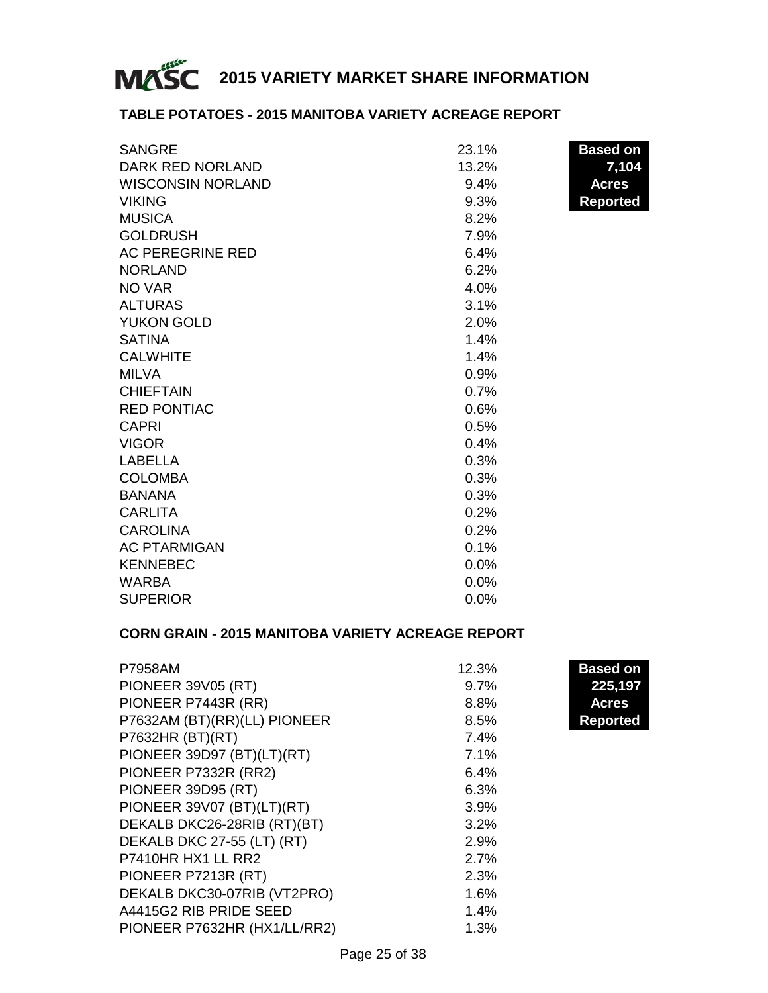

#### **TABLE POTATOES - 2015 MANITOBA VARIETY ACREAGE REPORT**

| <b>SANGRE</b>            | 23.1%   | <b>Based on</b> |
|--------------------------|---------|-----------------|
| DARK RED NORLAND         | 13.2%   | 7,104           |
| <b>WISCONSIN NORLAND</b> | 9.4%    | <b>Acres</b>    |
| <b>VIKING</b>            | $9.3\%$ | <b>Reported</b> |
| <b>MUSICA</b>            | 8.2%    |                 |
| <b>GOLDRUSH</b>          | 7.9%    |                 |
| AC PEREGRINE RED         | 6.4%    |                 |
| <b>NORLAND</b>           | 6.2%    |                 |
| NO VAR                   | 4.0%    |                 |
| <b>ALTURAS</b>           | 3.1%    |                 |
| YUKON GOLD               | 2.0%    |                 |
| <b>SATINA</b>            | 1.4%    |                 |
| <b>CALWHITE</b>          | 1.4%    |                 |
| <b>MILVA</b>             | 0.9%    |                 |
| <b>CHIEFTAIN</b>         | 0.7%    |                 |
| <b>RED PONTIAC</b>       | 0.6%    |                 |
| <b>CAPRI</b>             | 0.5%    |                 |
| <b>VIGOR</b>             | 0.4%    |                 |
| LABELLA                  | 0.3%    |                 |
| <b>COLOMBA</b>           | 0.3%    |                 |
| <b>BANANA</b>            | 0.3%    |                 |
| <b>CARLITA</b>           | 0.2%    |                 |
| <b>CAROLINA</b>          | 0.2%    |                 |
| <b>AC PTARMIGAN</b>      | 0.1%    |                 |
| <b>KENNEBEC</b>          | $0.0\%$ |                 |
| <b>WARBA</b>             | 0.0%    |                 |
| <b>SUPERIOR</b>          | $0.0\%$ |                 |

#### **CORN GRAIN - 2015 MANITOBA VARIETY ACREAGE REPORT**

| <b>P7958AM</b>               | 12.3% | <b>Based on</b> |
|------------------------------|-------|-----------------|
| <b>PIONEER 39V05 (RT)</b>    | 9.7%  | 225,197         |
| PIONEER P7443R (RR)          | 8.8%  | <b>Acres</b>    |
| P7632AM (BT)(RR)(LL) PIONEER | 8.5%  | <b>Reported</b> |
| P7632HR (BT)(RT)             | 7.4%  |                 |
| PIONEER 39D97 (BT)(LT)(RT)   | 7.1%  |                 |
| PIONEER P7332R (RR2)         | 6.4%  |                 |
| PIONEER 39D95 (RT)           | 6.3%  |                 |
| PIONEER 39V07 (BT)(LT)(RT)   | 3.9%  |                 |
| DEKALB DKC26-28RIB (RT)(BT)  | 3.2%  |                 |
| DEKALB DKC 27-55 (LT) (RT)   | 2.9%  |                 |
| P7410HR HX1 LL RR2           | 2.7%  |                 |
| PIONEER P7213R (RT)          | 2.3%  |                 |
| DEKALB DKC30-07RIB (VT2PRO)  | 1.6%  |                 |
| A4415G2 RIB PRIDE SEED       | 1.4%  |                 |
| PIONEER P7632HR (HX1/LL/RR2) | 1.3%  |                 |
|                              |       |                 |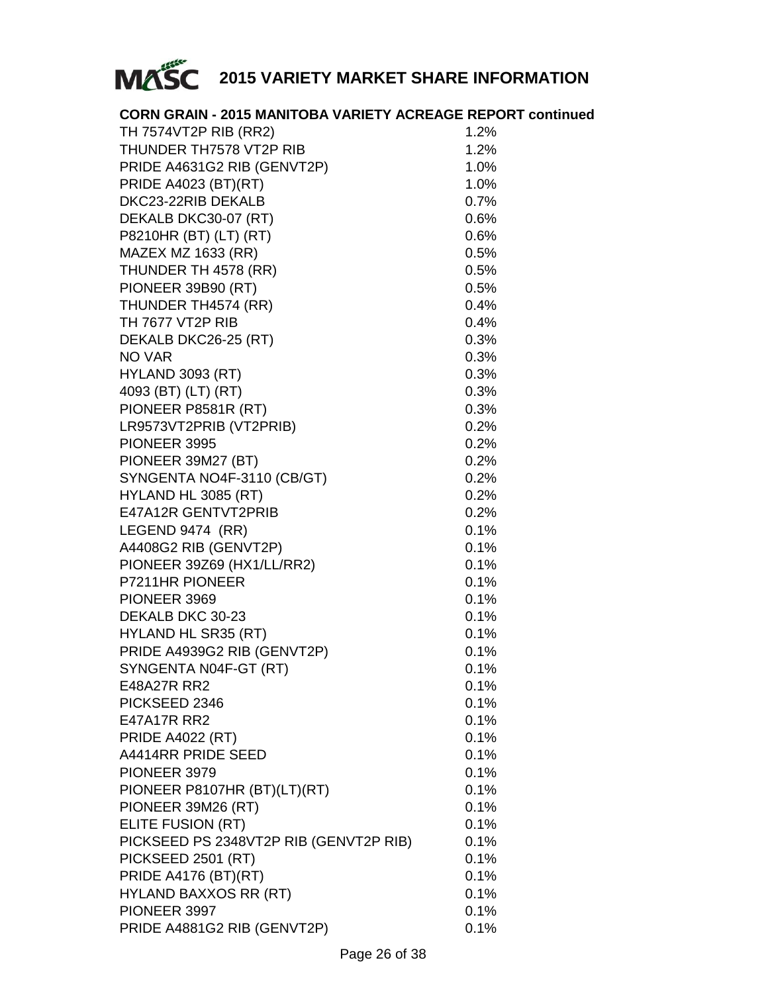

| <b>CORN GRAIN - 2015 MANITOBA VARIETY ACREAGE REPORT continued</b> |      |
|--------------------------------------------------------------------|------|
| TH 7574VT2P RIB (RR2)                                              | 1.2% |
| THUNDER TH7578 VT2P RIB                                            | 1.2% |
| PRIDE A4631G2 RIB (GENVT2P)                                        | 1.0% |
| PRIDE A4023 (BT)(RT)                                               | 1.0% |
| DKC23-22RIB DEKALB                                                 | 0.7% |
| DEKALB DKC30-07 (RT)                                               | 0.6% |
| P8210HR (BT) (LT) (RT)                                             | 0.6% |
| MAZEX MZ 1633 (RR)                                                 | 0.5% |
| THUNDER TH 4578 (RR)                                               | 0.5% |
| PIONEER 39B90 (RT)                                                 | 0.5% |
| THUNDER TH4574 (RR)                                                | 0.4% |
| TH 7677 VT2P RIB                                                   | 0.4% |
| DEKALB DKC26-25 (RT)                                               | 0.3% |
| NO VAR                                                             | 0.3% |
| <b>HYLAND 3093 (RT)</b>                                            | 0.3% |
| 4093 (BT) (LT) (RT)                                                | 0.3% |
| PIONEER P8581R (RT)                                                | 0.3% |
| LR9573VT2PRIB (VT2PRIB)                                            | 0.2% |
| PIONEER 3995                                                       | 0.2% |
| PIONEER 39M27 (BT)                                                 | 0.2% |
| SYNGENTA NO4F-3110 (CB/GT)                                         | 0.2% |
| HYLAND HL 3085 (RT)                                                | 0.2% |
| E47A12R GENTVT2PRIB                                                | 0.2% |
| LEGEND 9474 (RR)                                                   | 0.1% |
| A4408G2 RIB (GENVT2P)                                              | 0.1% |
| PIONEER 39Z69 (HX1/LL/RR2)                                         | 0.1% |
| P7211HR PIONEER                                                    | 0.1% |
| PIONEER 3969                                                       | 0.1% |
| DEKALB DKC 30-23                                                   | 0.1% |
| HYLAND HL SR35 (RT)                                                | 0.1% |
| PRIDE A4939G2 RIB (GENVT2P)                                        | 0.1% |
| SYNGENTA N04F-GT (RT)                                              | 0.1% |
| E48A27R RR2                                                        | 0.1% |
| PICKSEED 2346                                                      | 0.1% |
| E47A17R RR2                                                        | 0.1% |
| <b>PRIDE A4022 (RT)</b>                                            | 0.1% |
| A4414RR PRIDE SEED                                                 | 0.1% |
| PIONEER 3979                                                       | 0.1% |
| PIONEER P8107HR (BT)(LT)(RT)                                       | 0.1% |
| PIONEER 39M26 (RT)                                                 | 0.1% |
| ELITE FUSION (RT)                                                  | 0.1% |
| PICKSEED PS 2348VT2P RIB (GENVT2P RIB)                             | 0.1% |
| PICKSEED 2501 (RT)                                                 | 0.1% |
| <b>PRIDE A4176 (BT)(RT)</b>                                        | 0.1% |
| <b>HYLAND BAXXOS RR (RT)</b>                                       | 0.1% |
| PIONEER 3997                                                       | 0.1% |
| PRIDE A4881G2 RIB (GENVT2P)                                        | 0.1% |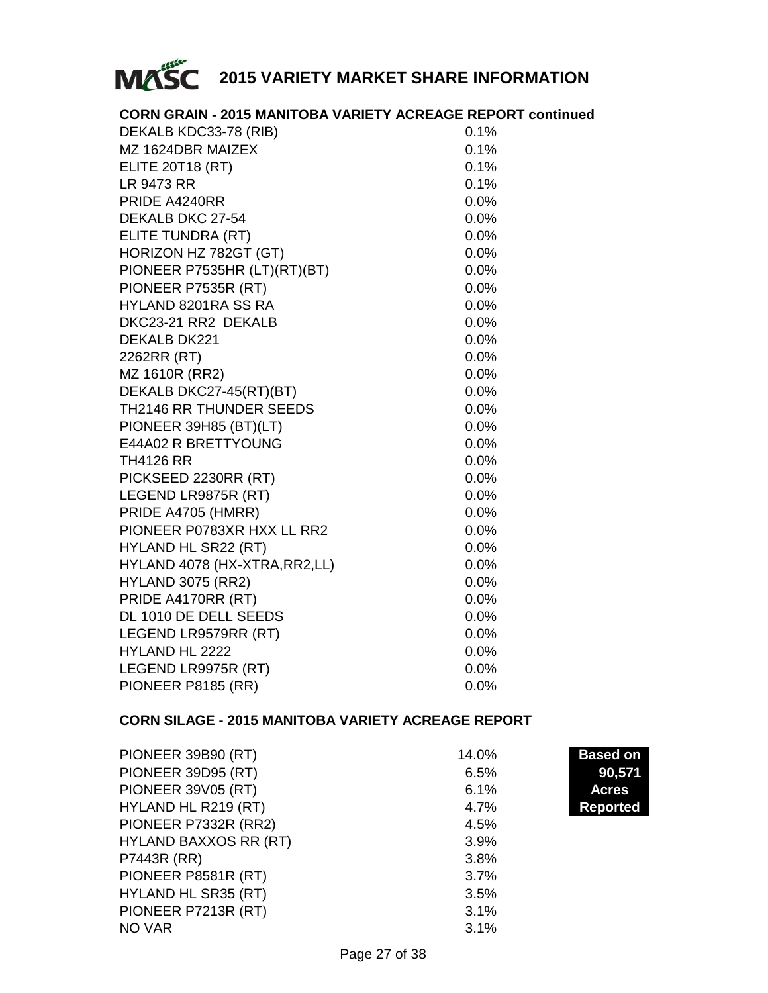

| <b>CORN GRAIN - 2015 MANITOBA VARIETY ACREAGE REPORT continued</b> |         |
|--------------------------------------------------------------------|---------|
| DEKALB KDC33-78 (RIB)                                              | 0.1%    |
| MZ 1624DBR MAIZEX                                                  | 0.1%    |
| <b>ELITE 20T18 (RT)</b>                                            | 0.1%    |
| LR 9473 RR                                                         | 0.1%    |
| PRIDE A4240RR                                                      | 0.0%    |
| DEKALB DKC 27-54                                                   | 0.0%    |
| ELITE TUNDRA (RT)                                                  | 0.0%    |
| HORIZON HZ 782GT (GT)                                              | 0.0%    |
| PIONEER P7535HR (LT)(RT)(BT)                                       | $0.0\%$ |
| PIONEER P7535R (RT)                                                | 0.0%    |
| HYLAND 8201RA SS RA                                                | 0.0%    |
| DKC23-21 RR2 DEKALB                                                | 0.0%    |
| DEKALB DK221                                                       | $0.0\%$ |
| 2262RR (RT)                                                        | 0.0%    |
| MZ 1610R (RR2)                                                     | $0.0\%$ |
| DEKALB DKC27-45(RT)(BT)                                            | 0.0%    |
| TH2146 RR THUNDER SEEDS                                            | 0.0%    |
| PIONEER 39H85 (BT)(LT)                                             | 0.0%    |
| E44A02 R BRETTYOUNG                                                | 0.0%    |
| <b>TH4126 RR</b>                                                   | 0.0%    |
| PICKSEED 2230RR (RT)                                               | 0.0%    |
| LEGEND LR9875R (RT)                                                | 0.0%    |
| PRIDE A4705 (HMRR)                                                 | 0.0%    |
| PIONEER P0783XR HXX LL RR2                                         | $0.0\%$ |
| HYLAND HL SR22 (RT)                                                | 0.0%    |
| HYLAND 4078 (HX-XTRA, RR2, LL)                                     | 0.0%    |
| <b>HYLAND 3075 (RR2)</b>                                           | 0.0%    |
| PRIDE A4170RR (RT)                                                 | 0.0%    |
| DL 1010 DE DELL SEEDS                                              | 0.0%    |
| LEGEND LR9579RR (RT)                                               | 0.0%    |
| <b>HYLAND HL 2222</b>                                              | 0.0%    |
| LEGEND LR9975R (RT)                                                | 0.0%    |
| PIONEER P8185 (RR)                                                 | $0.0\%$ |

#### **CORN SILAGE - 2015 MANITOBA VARIETY ACREAGE REPORT**

| PIONEER 39B90 (RT)           | 14.0% | <b>Based on</b> |
|------------------------------|-------|-----------------|
| PIONEER 39D95 (RT)           | 6.5%  | 90,571          |
| <b>PIONEER 39V05 (RT)</b>    | 6.1%  | <b>Acres</b>    |
| HYLAND HL R219 (RT)          | 4.7%  | Reported        |
| PIONEER P7332R (RR2)         | 4.5%  |                 |
| <b>HYLAND BAXXOS RR (RT)</b> | 3.9%  |                 |
| P7443R (RR)                  | 3.8%  |                 |
| PIONEER P8581R (RT)          | 3.7%  |                 |
| HYLAND HL SR35 (RT)          | 3.5%  |                 |
| PIONEER P7213R (RT)          | 3.1%  |                 |
| NO VAR                       | 3.1%  |                 |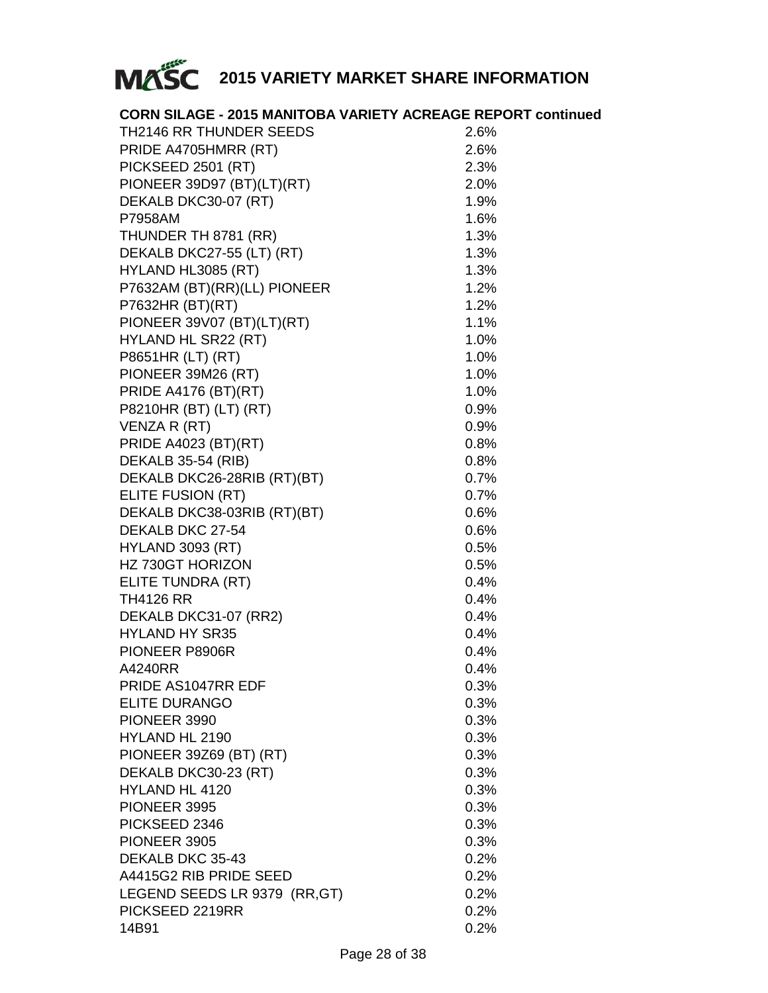

| <b>CORN SILAGE - 2015 MANITOBA VARIETY ACREAGE REPORT continued</b> |      |
|---------------------------------------------------------------------|------|
| TH2146 RR THUNDER SEEDS                                             | 2.6% |
| PRIDE A4705HMRR (RT)                                                | 2.6% |
| PICKSEED 2501 (RT)                                                  | 2.3% |
| PIONEER 39D97 (BT)(LT)(RT)                                          | 2.0% |
| DEKALB DKC30-07 (RT)                                                | 1.9% |
| <b>P7958AM</b>                                                      | 1.6% |
| THUNDER TH 8781 (RR)                                                | 1.3% |
| DEKALB DKC27-55 (LT) (RT)                                           | 1.3% |
| HYLAND HL3085 (RT)                                                  | 1.3% |
| P7632AM (BT)(RR)(LL) PIONEER                                        | 1.2% |
| P7632HR (BT)(RT)                                                    | 1.2% |
| PIONEER 39V07 (BT)(LT)(RT)                                          | 1.1% |
| HYLAND HL SR22 (RT)                                                 | 1.0% |
| P8651HR (LT) (RT)                                                   | 1.0% |
| PIONEER 39M26 (RT)                                                  | 1.0% |
| <b>PRIDE A4176 (BT)(RT)</b>                                         | 1.0% |
| P8210HR (BT) (LT) (RT)                                              | 0.9% |
| VENZA R (RT)                                                        | 0.9% |
| PRIDE A4023 (BT)(RT)                                                | 0.8% |
| DEKALB 35-54 (RIB)                                                  | 0.8% |
| DEKALB DKC26-28RIB (RT)(BT)                                         | 0.7% |
| ELITE FUSION (RT)                                                   | 0.7% |
| DEKALB DKC38-03RIB (RT)(BT)                                         | 0.6% |
| DEKALB DKC 27-54                                                    | 0.6% |
| HYLAND 3093 (RT)                                                    | 0.5% |
| HZ 730GT HORIZON                                                    | 0.5% |
| ELITE TUNDRA (RT)                                                   | 0.4% |
| <b>TH4126 RR</b>                                                    | 0.4% |
| DEKALB DKC31-07 (RR2)                                               | 0.4% |
| <b>HYLAND HY SR35</b>                                               | 0.4% |
| PIONEER P8906R                                                      | 0.4% |
| A4240RR                                                             | 0.4% |
| PRIDE AS1047RR EDF                                                  | 0.3% |
| ELITE DURANGO                                                       | 0.3% |
| PIONEER 3990                                                        | 0.3% |
| HYLAND HL 2190                                                      | 0.3% |
| PIONEER 39Z69 (BT) (RT)                                             | 0.3% |
| DEKALB DKC30-23 (RT)                                                | 0.3% |
| HYLAND HL 4120                                                      | 0.3% |
| PIONEER 3995                                                        | 0.3% |
| PICKSEED 2346                                                       | 0.3% |
| PIONEER 3905                                                        | 0.3% |
| DEKALB DKC 35-43                                                    | 0.2% |
| A4415G2 RIB PRIDE SEED                                              | 0.2% |
| LEGEND SEEDS LR 9379 (RR, GT)                                       | 0.2% |
| PICKSEED 2219RR                                                     | 0.2% |
| 14B91                                                               | 0.2% |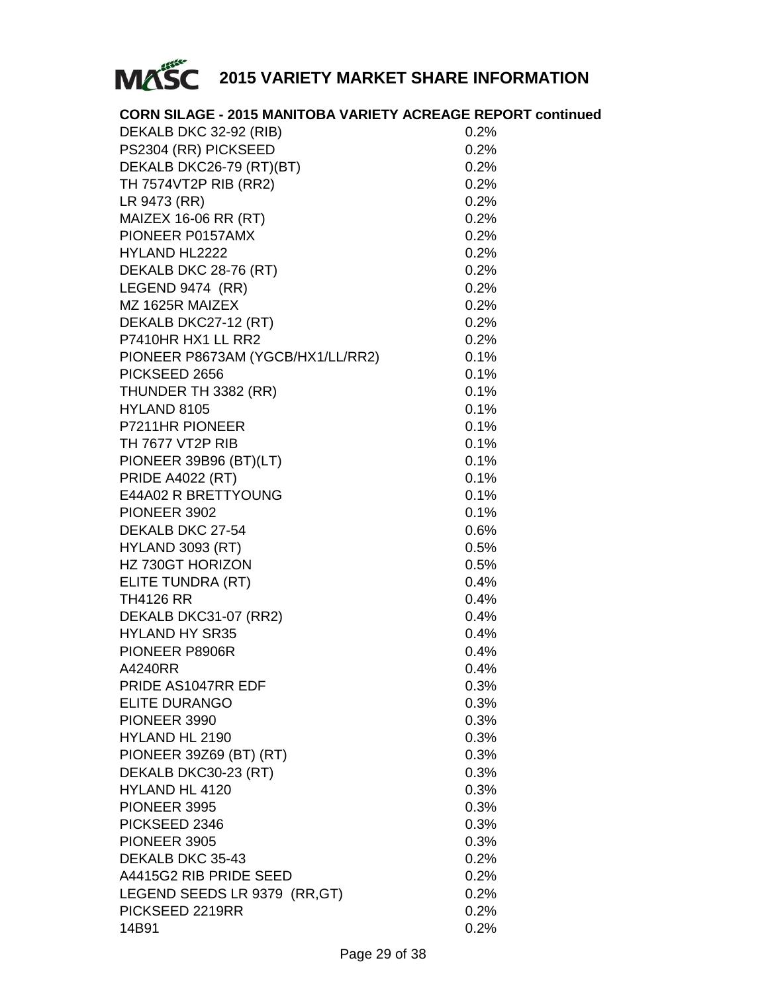

| <b>CORN SILAGE - 2015 MANITOBA VARIETY ACREAGE REPORT continued</b> |              |
|---------------------------------------------------------------------|--------------|
| DEKALB DKC 32-92 (RIB)                                              | 0.2%         |
| PS2304 (RR) PICKSEED                                                | 0.2%         |
| DEKALB DKC26-79 (RT)(BT)                                            | 0.2%         |
| TH 7574VT2P RIB (RR2)                                               | 0.2%         |
| LR 9473 (RR)                                                        | 0.2%         |
| MAIZEX 16-06 RR (RT)                                                | 0.2%         |
| PIONEER P0157AMX                                                    | 0.2%         |
| HYLAND HL2222                                                       | 0.2%         |
| DEKALB DKC 28-76 (RT)                                               | 0.2%         |
| LEGEND 9474 (RR)                                                    | 0.2%         |
| MZ 1625R MAIZEX                                                     | 0.2%         |
| DEKALB DKC27-12 (RT)                                                | 0.2%         |
| P7410HR HX1 LL RR2                                                  | 0.2%         |
| PIONEER P8673AM (YGCB/HX1/LL/RR2)                                   | 0.1%         |
| PICKSEED 2656                                                       | 0.1%         |
| THUNDER TH 3382 (RR)                                                | 0.1%         |
| HYLAND 8105                                                         | 0.1%         |
| P7211HR PIONEER                                                     | 0.1%         |
| TH 7677 VT2P RIB                                                    | 0.1%         |
| PIONEER 39B96 (BT)(LT)                                              | 0.1%         |
| <b>PRIDE A4022 (RT)</b>                                             | 0.1%         |
| E44A02 R BRETTYOUNG                                                 | 0.1%         |
| PIONEER 3902                                                        | 0.1%         |
| DEKALB DKC 27-54                                                    | 0.6%         |
| <b>HYLAND 3093 (RT)</b>                                             | 0.5%         |
| HZ 730GT HORIZON                                                    | 0.5%         |
|                                                                     |              |
| ELITE TUNDRA (RT)                                                   | 0.4%         |
| <b>TH4126 RR</b>                                                    | 0.4%<br>0.4% |
| DEKALB DKC31-07 (RR2)                                               | 0.4%         |
| <b>HYLAND HY SR35</b>                                               |              |
| PIONEER P8906R                                                      | 0.4%         |
| A4240RR<br>PRIDE AS1047RR EDF                                       | 0.4%         |
|                                                                     | 0.3%         |
| ELITE DURANGO                                                       | 0.3%         |
| PIONEER 3990                                                        | 0.3%         |
| HYLAND HL 2190                                                      | 0.3%         |
| PIONEER 39Z69 (BT) (RT)                                             | 0.3%         |
| DEKALB DKC30-23 (RT)                                                | 0.3%         |
| HYLAND HL 4120                                                      | 0.3%         |
| PIONEER 3995                                                        | 0.3%         |
| PICKSEED 2346                                                       | 0.3%         |
| PIONEER 3905                                                        | 0.3%         |
| DEKALB DKC 35-43                                                    | 0.2%         |
| A4415G2 RIB PRIDE SEED                                              | 0.2%         |
| LEGEND SEEDS LR 9379 (RR, GT)                                       | 0.2%         |
| PICKSEED 2219RR                                                     | 0.2%         |
| 14B91                                                               | 0.2%         |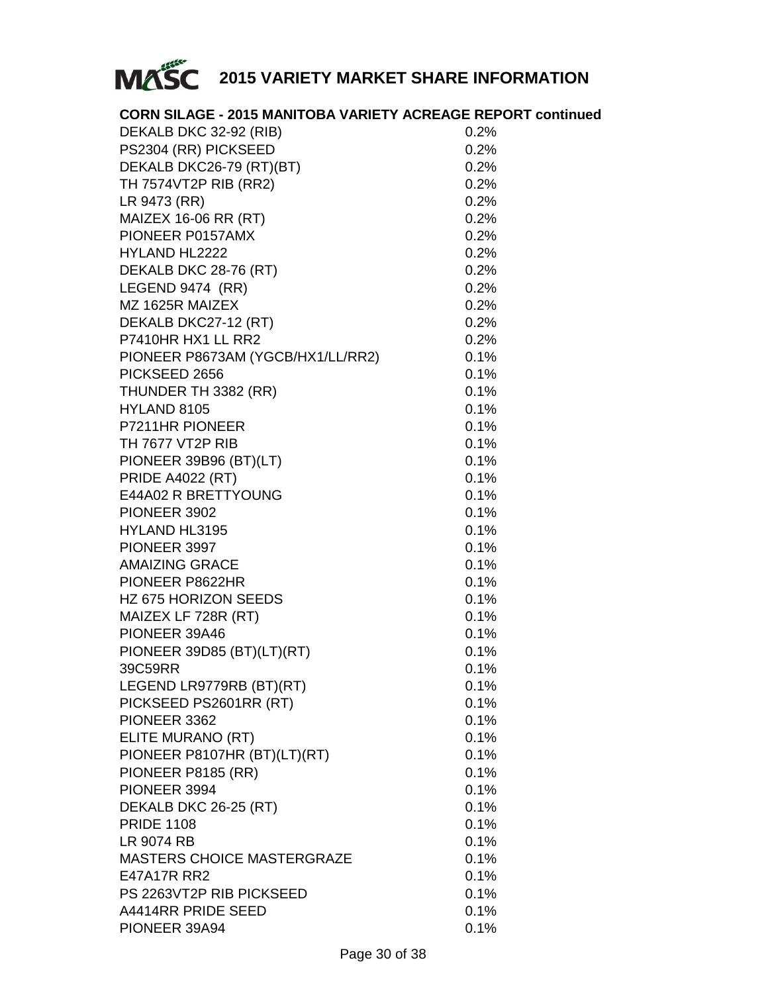

| <b>CORN SILAGE - 2015 MANITOBA VARIETY ACREAGE REPORT continued</b> |         |
|---------------------------------------------------------------------|---------|
| DEKALB DKC 32-92 (RIB)                                              | 0.2%    |
| PS2304 (RR) PICKSEED                                                | 0.2%    |
| DEKALB DKC26-79 (RT)(BT)                                            | 0.2%    |
| TH 7574VT2P RIB (RR2)                                               | 0.2%    |
| LR 9473 (RR)                                                        | 0.2%    |
| MAIZEX 16-06 RR (RT)                                                | 0.2%    |
| PIONEER P0157AMX                                                    | 0.2%    |
| HYLAND HL2222                                                       | 0.2%    |
| DEKALB DKC 28-76 (RT)                                               | 0.2%    |
| LEGEND 9474 (RR)                                                    | 0.2%    |
| MZ 1625R MAIZEX                                                     | 0.2%    |
| DEKALB DKC27-12 (RT)                                                | 0.2%    |
| P7410HR HX1 LL RR2                                                  | 0.2%    |
| PIONEER P8673AM (YGCB/HX1/LL/RR2)                                   | 0.1%    |
| PICKSEED 2656                                                       | 0.1%    |
| THUNDER TH 3382 (RR)                                                | 0.1%    |
| HYLAND 8105                                                         | 0.1%    |
| P7211HR PIONEER                                                     | 0.1%    |
| TH 7677 VT2P RIB                                                    | 0.1%    |
| PIONEER 39B96 (BT)(LT)                                              | 0.1%    |
| <b>PRIDE A4022 (RT)</b>                                             | 0.1%    |
| E44A02 R BRETTYOUNG                                                 | 0.1%    |
| PIONEER 3902                                                        | 0.1%    |
| HYLAND HL3195                                                       | 0.1%    |
| PIONEER 3997                                                        | 0.1%    |
| <b>AMAIZING GRACE</b>                                               | 0.1%    |
| PIONEER P8622HR                                                     | 0.1%    |
| HZ 675 HORIZON SEEDS                                                | 0.1%    |
| MAIZEX LF 728R (RT)                                                 | 0.1%    |
| PIONEER 39A46                                                       | 0.1%    |
| PIONEER 39D85 (BT)(LT)(RT)                                          | 0.1%    |
| 39C59RR                                                             | 0.1%    |
| LEGEND LR9779RB (BT)(RT)                                            | 0.1%    |
| PICKSEED PS2601RR (RT)                                              | 0.1%    |
| PIONEER 3362                                                        | $0.1\%$ |
| ELITE MURANO (RT)                                                   | 0.1%    |
| PIONEER P8107HR (BT)(LT)(RT)                                        | 0.1%    |
| PIONEER P8185 (RR)                                                  | 0.1%    |
| PIONEER 3994                                                        | 0.1%    |
| DEKALB DKC 26-25 (RT)                                               | 0.1%    |
| <b>PRIDE 1108</b>                                                   | 0.1%    |
| LR 9074 RB                                                          | 0.1%    |
| <b>MASTERS CHOICE MASTERGRAZE</b>                                   | 0.1%    |
| E47A17R RR2                                                         | 0.1%    |
| PS 2263VT2P RIB PICKSEED                                            | 0.1%    |
| A4414RR PRIDE SEED                                                  | 0.1%    |
| PIONEER 39A94                                                       | 0.1%    |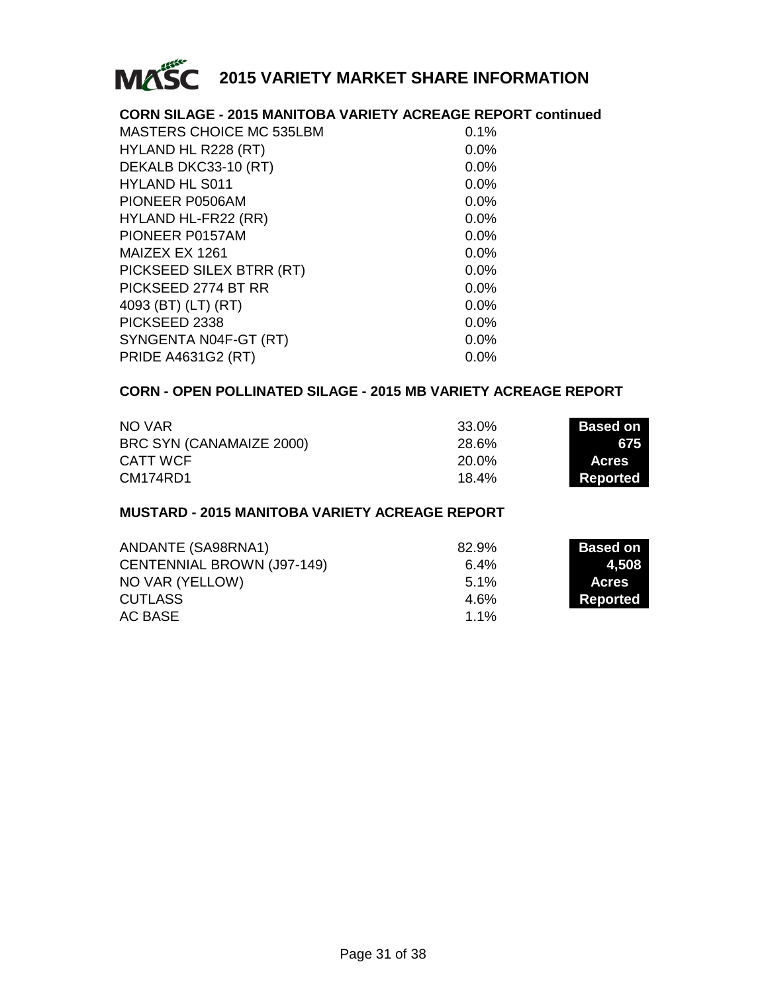

#### **CORN SILAGE - 2015 MANITOBA VARIETY ACREAGE REPORT continued**

| MASTERS CHOICE MC 535LBM  | $0.1\%$ |
|---------------------------|---------|
| HYLAND HL R228 (RT)       | $0.0\%$ |
| DEKALB DKC33-10 (RT)      | $0.0\%$ |
| <b>HYLAND HL S011</b>     | $0.0\%$ |
| PIONEER P0506AM           | $0.0\%$ |
| HYLAND HL-FR22 (RR)       | $0.0\%$ |
| PIONEER P0157AM           | $0.0\%$ |
| MAIZEX EX 1261            | $0.0\%$ |
| PICKSEED SILEX BTRR (RT)  | $0.0\%$ |
| PICKSEED 2774 BT RR       | $0.0\%$ |
| 4093 (BT) (LT) (RT)       | $0.0\%$ |
| PICKSEED 2338             | $0.0\%$ |
| SYNGENTA N04F-GT (RT)     | $0.0\%$ |
| <b>PRIDE A4631G2 (RT)</b> | $0.0\%$ |
|                           |         |

#### **CORN - OPEN POLLINATED SILAGE - 2015 MB VARIETY ACREAGE REPORT**

| NO VAR                   | 33.0% | <b>Based on</b> |
|--------------------------|-------|-----------------|
| BRC SYN (CANAMAIZE 2000) | 28.6% | 675             |
| CATT WCF                 | 20.0% | <b>Acres</b>    |
| CM174RD1                 | 18.4% | Reported        |

#### **MUSTARD - 2015 MANITOBA VARIETY ACREAGE REPORT**

| ANDANTE (SA98RNA1)         | 82.9%   | Based on     |
|----------------------------|---------|--------------|
| CENTENNIAL BROWN (J97-149) | $6.4\%$ | 1.508        |
| NO VAR (YELLOW)            | $5.1\%$ | <b>Acres</b> |
| <b>CUTLASS</b>             | 4.6%    | Reported     |
| AC BASE                    | $1.1\%$ |              |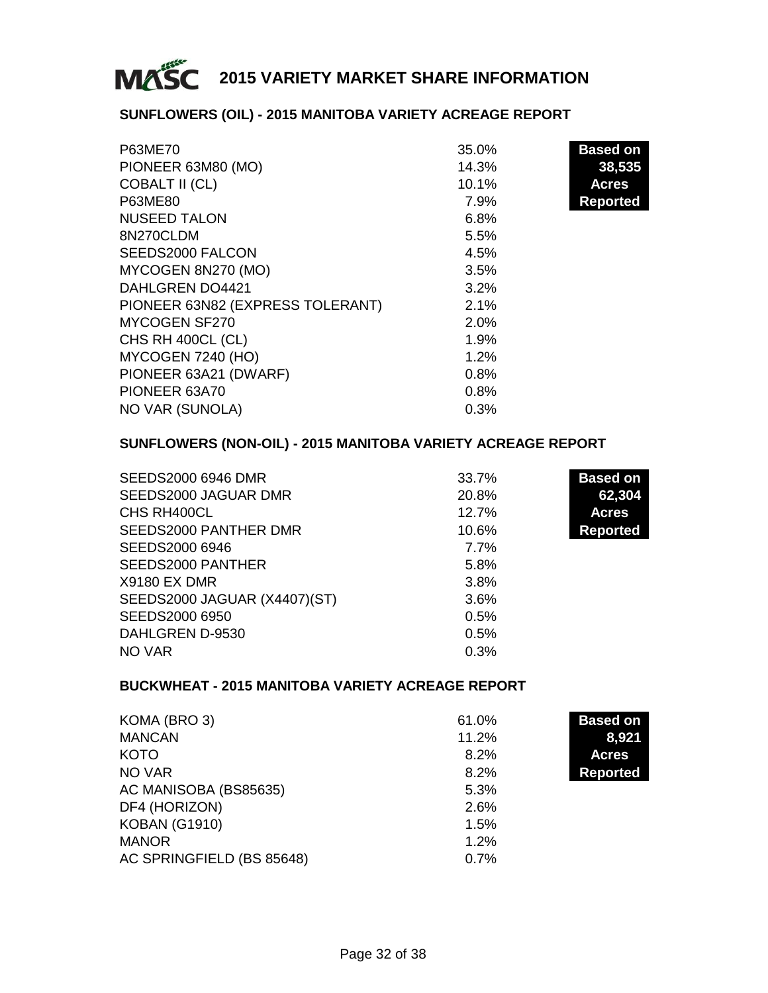

#### **SUNFLOWERS (OIL) - 2015 MANITOBA VARIETY ACREAGE REPORT**

| P63ME70                          | 35.0% | <b>Based on</b> |
|----------------------------------|-------|-----------------|
| PIONEER 63M80 (MO)               | 14.3% | 38,535          |
| COBALT II (CL)                   | 10.1% | <b>Acres</b>    |
| P63ME80                          | 7.9%  | <b>Reported</b> |
| <b>NUSEED TALON</b>              | 6.8%  |                 |
| 8N270CLDM                        | 5.5%  |                 |
| SEEDS2000 FALCON                 | 4.5%  |                 |
| MYCOGEN 8N270 (MO)               | 3.5%  |                 |
| DAHLGREN DO4421                  | 3.2%  |                 |
| PIONEER 63N82 (EXPRESS TOLERANT) | 2.1%  |                 |
| MYCOGEN SF270                    | 2.0%  |                 |
| CHS RH 400CL (CL)                | 1.9%  |                 |
| MYCOGEN 7240 (HO)                | 1.2%  |                 |
| PIONEER 63A21 (DWARF)            | 0.8%  |                 |
| PIONEER 63A70                    | 0.8%  |                 |
| NO VAR (SUNOLA)                  | 0.3%  |                 |

#### **SUNFLOWERS (NON-OIL) - 2015 MANITOBA VARIETY ACREAGE REPORT**

| SEEDS2000 6946 DMR           | 33.7% | <b>Based on</b> |
|------------------------------|-------|-----------------|
| SEEDS2000 JAGUAR DMR         | 20.8% | 62,304          |
| CHS RH400CL                  | 12.7% | <b>Acres</b>    |
| SEEDS2000 PANTHER DMR        | 10.6% | <b>Reported</b> |
| SEEDS2000 6946               | 7.7%  |                 |
| SEEDS2000 PANTHER            | 5.8%  |                 |
| X9180 EX DMR                 | 3.8%  |                 |
| SEEDS2000 JAGUAR (X4407)(ST) | 3.6%  |                 |
| SEEDS2000 6950               | 0.5%  |                 |
| DAHLGREN D-9530              | 0.5%  |                 |
| NO VAR                       | 0.3%  |                 |

#### **BUCKWHEAT - 2015 MANITOBA VARIETY ACREAGE REPORT**

| KOMA (BRO 3)              | 61.0% | <b>Based on</b> |
|---------------------------|-------|-----------------|
| <b>MANCAN</b>             | 11.2% | 8,921           |
| KOTO                      | 8.2%  | <b>Acres</b>    |
| NO VAR                    | 8.2%  | <b>Reported</b> |
| AC MANISOBA (BS85635)     | 5.3%  |                 |
| DF4 (HORIZON)             | 2.6%  |                 |
| <b>KOBAN (G1910)</b>      | 1.5%  |                 |
| <b>MANOR</b>              | 1.2%  |                 |
| AC SPRINGFIELD (BS 85648) | 0.7%  |                 |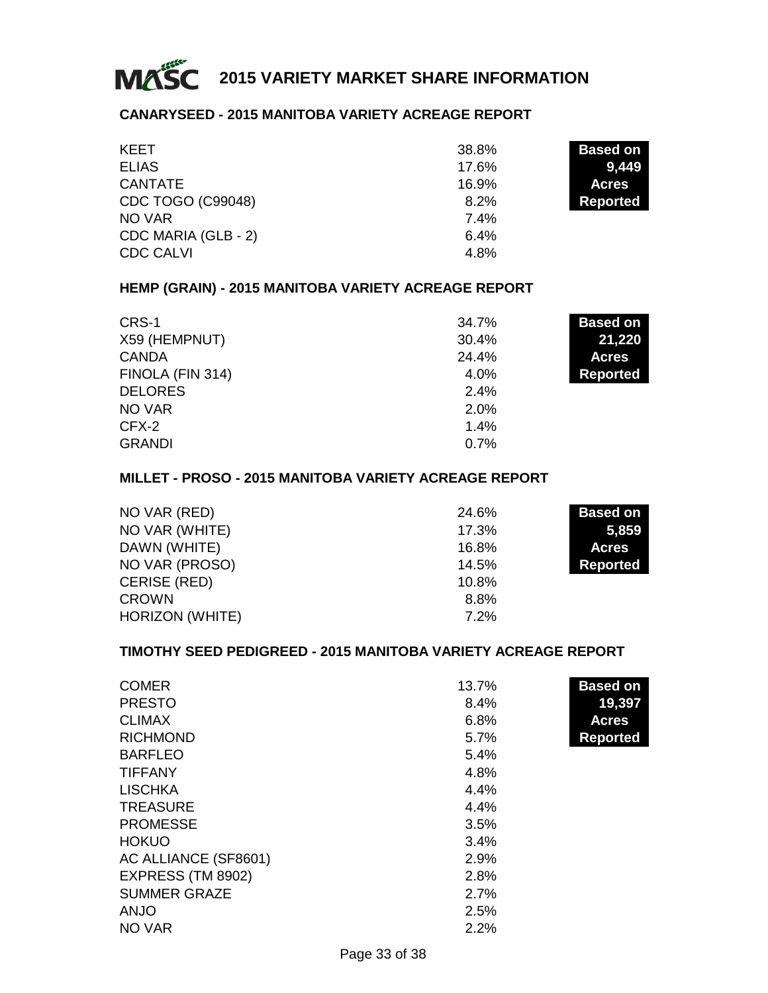

#### **CANARYSEED - 2015 MANITOBA VARIETY ACREAGE REPORT**

| KEET                | 38.8% | <b>Based on</b> |
|---------------------|-------|-----------------|
| <b>ELIAS</b>        | 17.6% | 9.449           |
| CANTATE             | 16.9% | <b>Acres</b>    |
| CDC TOGO (C99048)   | 8.2%  | Reported        |
| NO VAR              | 7.4%  |                 |
| CDC MARIA (GLB - 2) | 6.4%  |                 |
| <b>CDC CALVI</b>    | 4.8%  |                 |

#### **HEMP (GRAIN) - 2015 MANITOBA VARIETY ACREAGE REPORT**

| CRS-1            | 34.7%   | <b>Based on</b> |
|------------------|---------|-----------------|
| X59 (HEMPNUT)    | 30.4%   | 21,220          |
| <b>CANDA</b>     | 24.4%   | <b>Acres</b>    |
| FINOLA (FIN 314) | $4.0\%$ | <b>Reported</b> |
| <b>DELORES</b>   | 2.4%    |                 |
| NO VAR           | 2.0%    |                 |
| CFX-2            | 1.4%    |                 |
| <b>GRANDI</b>    | 0.7%    |                 |

#### **MILLET - PROSO - 2015 MANITOBA VARIETY ACREAGE REPORT**

| NO VAR (RED)    | 24.6% | <b>Based on</b> |
|-----------------|-------|-----------------|
| NO VAR (WHITE)  | 17.3% | 5.859           |
| DAWN (WHITE)    | 16.8% | <b>Acres</b>    |
| NO VAR (PROSO)  | 14.5% | Reported        |
| CERISE (RED)    | 10.8% |                 |
| <b>CROWN</b>    | 8.8%  |                 |
| HORIZON (WHITE) | 7.2%  |                 |

#### **TIMOTHY SEED PEDIGREED - 2015 MANITOBA VARIETY ACREAGE REPORT**

| <b>COMER</b>         | 13.7% | <b>Based on</b> |
|----------------------|-------|-----------------|
| <b>PRESTO</b>        | 8.4%  | 19,397          |
| <b>CLIMAX</b>        | 6.8%  | <b>Acres</b>    |
| <b>RICHMOND</b>      | 5.7%  | <b>Reported</b> |
| <b>BARFLEO</b>       | 5.4%  |                 |
| <b>TIFFANY</b>       | 4.8%  |                 |
| <b>LISCHKA</b>       | 4.4%  |                 |
| <b>TREASURE</b>      | 4.4%  |                 |
| <b>PROMESSE</b>      | 3.5%  |                 |
| <b>HOKUO</b>         | 3.4%  |                 |
| AC ALLIANCE (SF8601) | 2.9%  |                 |
| EXPRESS (TM 8902)    | 2.8%  |                 |
| <b>SUMMER GRAZE</b>  | 2.7%  |                 |
| <b>ANJO</b>          | 2.5%  |                 |
| NO VAR               | 2.2%  |                 |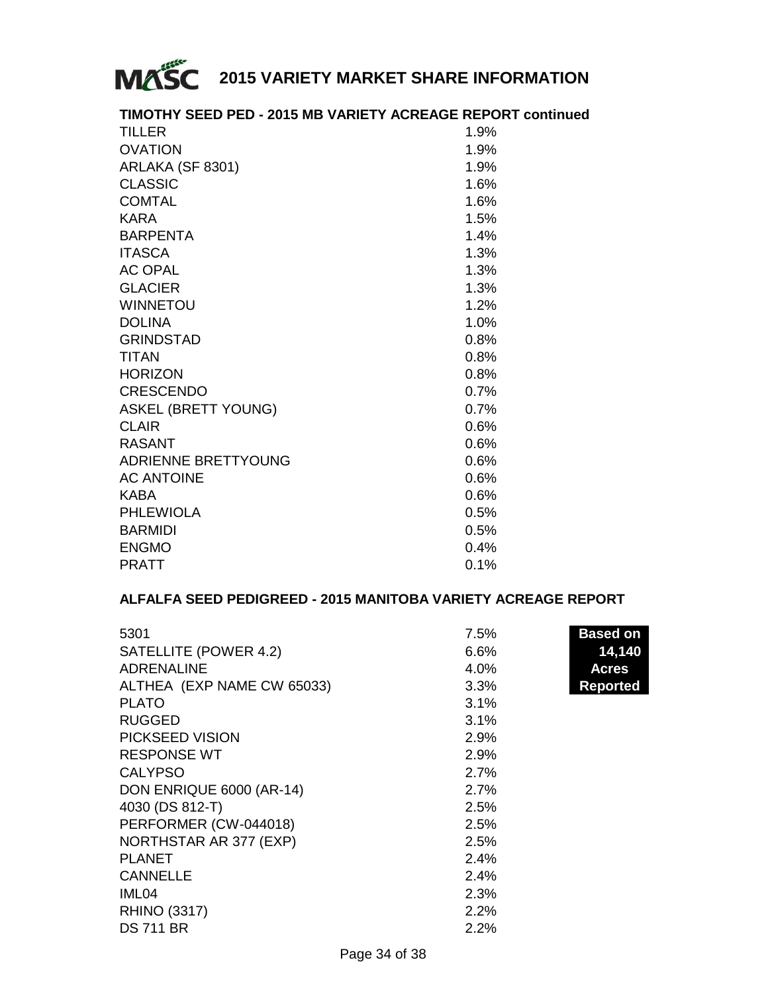

#### **TIMOTHY SEED PED - 2015 MB VARIETY ACREAGE REPORT continued**

| <b>OVATION</b><br>ARLAKA (SF 8301)<br><b>CLASSIC</b><br><b>COMTAL</b><br><b>KARA</b><br><b>BARPENTA</b><br><b>ITASCA</b><br><b>AC OPAL</b><br><b>GLACIER</b><br><b>WINNETOU</b><br><b>DOLINA</b><br><b>GRINDSTAD</b><br><b>TITAN</b><br><b>HORIZON</b><br><b>CRESCENDO</b><br><b>ASKEL (BRETT YOUNG)</b><br><b>CLAIR</b><br>RASANT<br>ADRIENNE BRETTYOUNG<br><b>AC ANTOINE</b><br>KABA<br><b>PHLEWIOLA</b><br><b>BARMIDI</b><br><b>ENGMO</b><br><b>PRATT</b> | <b>TILLER</b> | 1.9%    |
|--------------------------------------------------------------------------------------------------------------------------------------------------------------------------------------------------------------------------------------------------------------------------------------------------------------------------------------------------------------------------------------------------------------------------------------------------------------|---------------|---------|
|                                                                                                                                                                                                                                                                                                                                                                                                                                                              |               | 1.9%    |
|                                                                                                                                                                                                                                                                                                                                                                                                                                                              |               | 1.9%    |
|                                                                                                                                                                                                                                                                                                                                                                                                                                                              |               | 1.6%    |
|                                                                                                                                                                                                                                                                                                                                                                                                                                                              |               | 1.6%    |
|                                                                                                                                                                                                                                                                                                                                                                                                                                                              |               | 1.5%    |
|                                                                                                                                                                                                                                                                                                                                                                                                                                                              |               | 1.4%    |
|                                                                                                                                                                                                                                                                                                                                                                                                                                                              |               | 1.3%    |
|                                                                                                                                                                                                                                                                                                                                                                                                                                                              |               | 1.3%    |
|                                                                                                                                                                                                                                                                                                                                                                                                                                                              |               | 1.3%    |
|                                                                                                                                                                                                                                                                                                                                                                                                                                                              |               | 1.2%    |
|                                                                                                                                                                                                                                                                                                                                                                                                                                                              |               | 1.0%    |
|                                                                                                                                                                                                                                                                                                                                                                                                                                                              |               | 0.8%    |
|                                                                                                                                                                                                                                                                                                                                                                                                                                                              |               | 0.8%    |
|                                                                                                                                                                                                                                                                                                                                                                                                                                                              |               | 0.8%    |
|                                                                                                                                                                                                                                                                                                                                                                                                                                                              |               | 0.7%    |
|                                                                                                                                                                                                                                                                                                                                                                                                                                                              |               | 0.7%    |
|                                                                                                                                                                                                                                                                                                                                                                                                                                                              |               | 0.6%    |
|                                                                                                                                                                                                                                                                                                                                                                                                                                                              |               | 0.6%    |
|                                                                                                                                                                                                                                                                                                                                                                                                                                                              |               | 0.6%    |
|                                                                                                                                                                                                                                                                                                                                                                                                                                                              |               | 0.6%    |
|                                                                                                                                                                                                                                                                                                                                                                                                                                                              |               | 0.6%    |
|                                                                                                                                                                                                                                                                                                                                                                                                                                                              |               | 0.5%    |
|                                                                                                                                                                                                                                                                                                                                                                                                                                                              |               | 0.5%    |
|                                                                                                                                                                                                                                                                                                                                                                                                                                                              |               | $0.4\%$ |
|                                                                                                                                                                                                                                                                                                                                                                                                                                                              |               | 0.1%    |

#### **ALFALFA SEED PEDIGREED - 2015 MANITOBA VARIETY ACREAGE REPORT**

| 5301                       | 7.5% | <b>Based on</b> |
|----------------------------|------|-----------------|
| SATELLITE (POWER 4.2)      | 6.6% | 14,140          |
| <b>ADRENALINE</b>          | 4.0% | <b>Acres</b>    |
| ALTHEA (EXP NAME CW 65033) | 3.3% | <b>Reported</b> |
| <b>PLATO</b>               | 3.1% |                 |
| <b>RUGGED</b>              | 3.1% |                 |
| PICKSEED VISION            | 2.9% |                 |
| <b>RESPONSE WT</b>         | 2.9% |                 |
| <b>CALYPSO</b>             | 2.7% |                 |
| DON ENRIQUE 6000 (AR-14)   | 2.7% |                 |
| 4030 (DS 812-T)            | 2.5% |                 |
| PERFORMER (CW-044018)      | 2.5% |                 |
| NORTHSTAR AR 377 (EXP)     | 2.5% |                 |
| <b>PLANET</b>              | 2.4% |                 |
| <b>CANNELLE</b>            | 2.4% |                 |
| IML <sub>04</sub>          | 2.3% |                 |
| <b>RHINO (3317)</b>        | 2.2% |                 |
| <b>DS 711 BR</b>           | 2.2% |                 |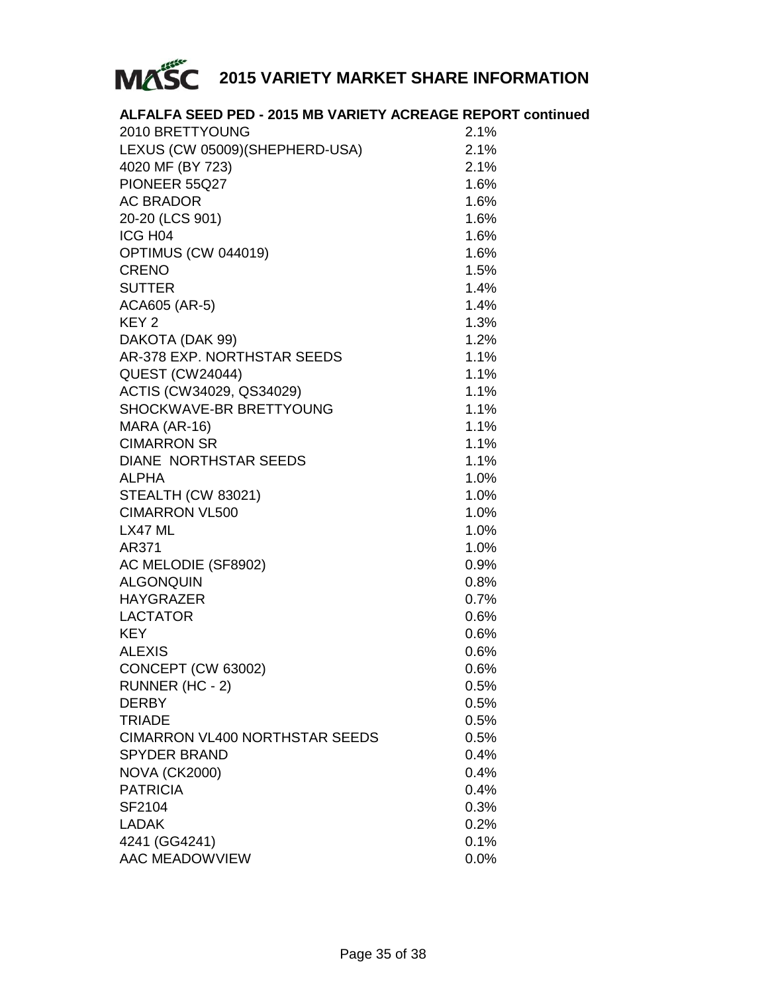

| ALFALFA SEED PED - 2015 MB VARIETY ACREAGE REPORT continued |      |
|-------------------------------------------------------------|------|
| 2010 BRETTYOUNG                                             | 2.1% |
| LEXUS (CW 05009)(SHEPHERD-USA)                              | 2.1% |
| 4020 MF (BY 723)                                            | 2.1% |
| PIONEER 55Q27                                               | 1.6% |
| <b>AC BRADOR</b>                                            | 1.6% |
| 20-20 (LCS 901)                                             | 1.6% |
| ICG H <sub>04</sub>                                         | 1.6% |
| OPTIMUS (CW 044019)                                         | 1.6% |
| <b>CRENO</b>                                                | 1.5% |
| <b>SUTTER</b>                                               | 1.4% |
| ACA605 (AR-5)                                               | 1.4% |
| KEY <sub>2</sub>                                            | 1.3% |
| DAKOTA (DAK 99)                                             | 1.2% |
| AR-378 EXP. NORTHSTAR SEEDS                                 | 1.1% |
| <b>QUEST (CW24044)</b>                                      | 1.1% |
| ACTIS (CW34029, QS34029)                                    | 1.1% |
| SHOCKWAVE-BR BRETTYOUNG                                     | 1.1% |
| MARA (AR-16)                                                | 1.1% |
| <b>CIMARRON SR</b>                                          | 1.1% |
| DIANE NORTHSTAR SEEDS                                       | 1.1% |
| <b>ALPHA</b>                                                | 1.0% |
| STEALTH (CW 83021)                                          | 1.0% |
| <b>CIMARRON VL500</b>                                       | 1.0% |
| LX47 ML                                                     | 1.0% |
| AR371                                                       | 1.0% |
| AC MELODIE (SF8902)                                         | 0.9% |
| <b>ALGONQUIN</b>                                            | 0.8% |
| <b>HAYGRAZER</b>                                            | 0.7% |
| <b>LACTATOR</b>                                             | 0.6% |
| <b>KEY</b>                                                  | 0.6% |
| <b>ALEXIS</b>                                               | 0.6% |
| CONCEPT (CW 63002)                                          | 0.6% |
| RUNNER (HC - 2)                                             | 0.5% |
| <b>DERBY</b>                                                | 0.5% |
| TRIADE                                                      | 0.5% |
| CIMARRON VL400 NORTHSTAR SEEDS                              | 0.5% |
| <b>SPYDER BRAND</b>                                         | 0.4% |
| <b>NOVA (CK2000)</b>                                        | 0.4% |
| <b>PATRICIA</b>                                             | 0.4% |
| SF2104                                                      | 0.3% |
| <b>LADAK</b>                                                | 0.2% |
| 4241 (GG4241)                                               | 0.1% |
| AAC MEADOWVIEW                                              | 0.0% |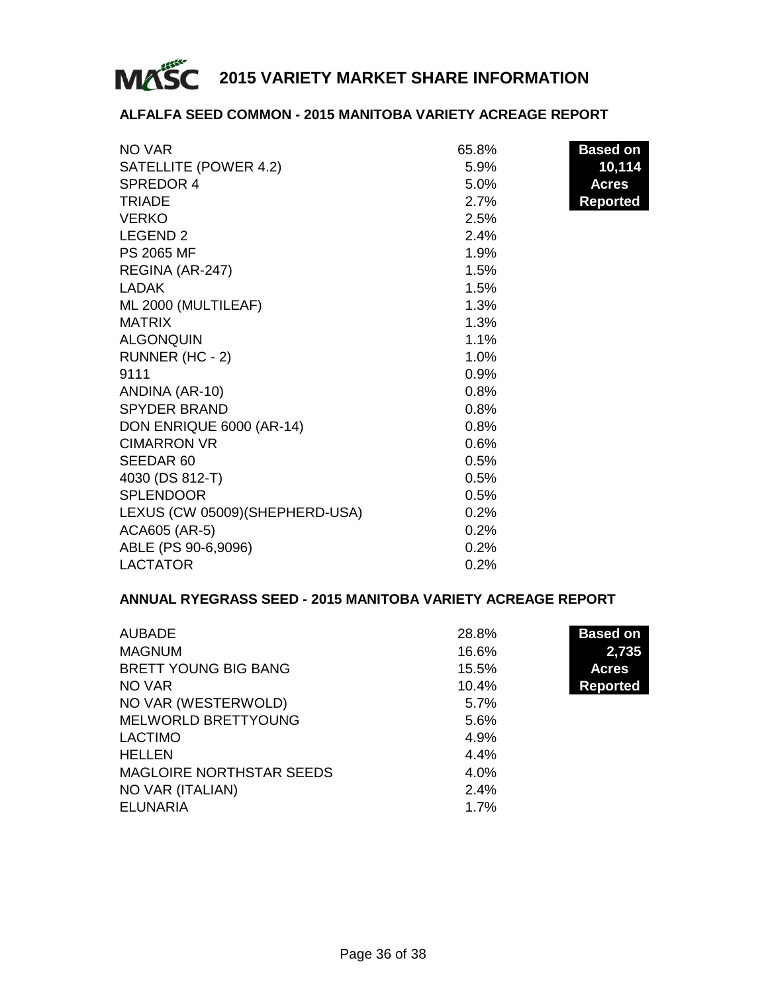

#### **ALFALFA SEED COMMON - 2015 MANITOBA VARIETY ACREAGE REPORT**

| NO VAR                          | 65.8% | <b>Based on</b> |
|---------------------------------|-------|-----------------|
| SATELLITE (POWER 4.2)           | 5.9%  | 10,114          |
| SPREDOR 4                       | 5.0%  | <b>Acres</b>    |
| <b>TRIADE</b>                   | 2.7%  | <b>Reported</b> |
| <b>VERKO</b>                    | 2.5%  |                 |
| LEGEND <sub>2</sub>             | 2.4%  |                 |
| PS 2065 MF                      | 1.9%  |                 |
| REGINA (AR-247)                 | 1.5%  |                 |
| LADAK                           | 1.5%  |                 |
| ML 2000 (MULTILEAF)             | 1.3%  |                 |
| <b>MATRIX</b>                   | 1.3%  |                 |
| <b>ALGONQUIN</b>                | 1.1%  |                 |
| RUNNER (HC - 2)                 | 1.0%  |                 |
| 9111                            | 0.9%  |                 |
| ANDINA (AR-10)                  | 0.8%  |                 |
| <b>SPYDER BRAND</b>             | 0.8%  |                 |
| DON ENRIQUE 6000 (AR-14)        | 0.8%  |                 |
| <b>CIMARRON VR</b>              | 0.6%  |                 |
| SEEDAR <sub>60</sub>            | 0.5%  |                 |
| 4030 (DS 812-T)                 | 0.5%  |                 |
| <b>SPLENDOOR</b>                | 0.5%  |                 |
| LEXUS (CW 05009) (SHEPHERD-USA) | 0.2%  |                 |
| ACA605 (AR-5)                   | 0.2%  |                 |
| ABLE (PS 90-6,9096)             | 0.2%  |                 |
| <b>LACTATOR</b>                 | 0.2%  |                 |

#### **ANNUAL RYEGRASS SEED - 2015 MANITOBA VARIETY ACREAGE REPORT**

| <b>AUBADE</b>                   | 28.8%   | <b>Based on</b> |
|---------------------------------|---------|-----------------|
| <b>MAGNUM</b>                   | 16.6%   | 2,735           |
| BRETT YOUNG BIG BANG            | 15.5%   | <b>Acres</b>    |
| NO VAR                          | 10.4%   | <b>Reported</b> |
| NO VAR (WESTERWOLD)             | 5.7%    |                 |
| MELWORLD BRETTYOUNG             | 5.6%    |                 |
| LACTIMO                         | 4.9%    |                 |
| <b>HELLEN</b>                   | 4.4%    |                 |
| <b>MAGLOIRE NORTHSTAR SEEDS</b> | $4.0\%$ |                 |
| NO VAR (ITALIAN)                | 2.4%    |                 |
| ELUNARIA                        | 1.7%    |                 |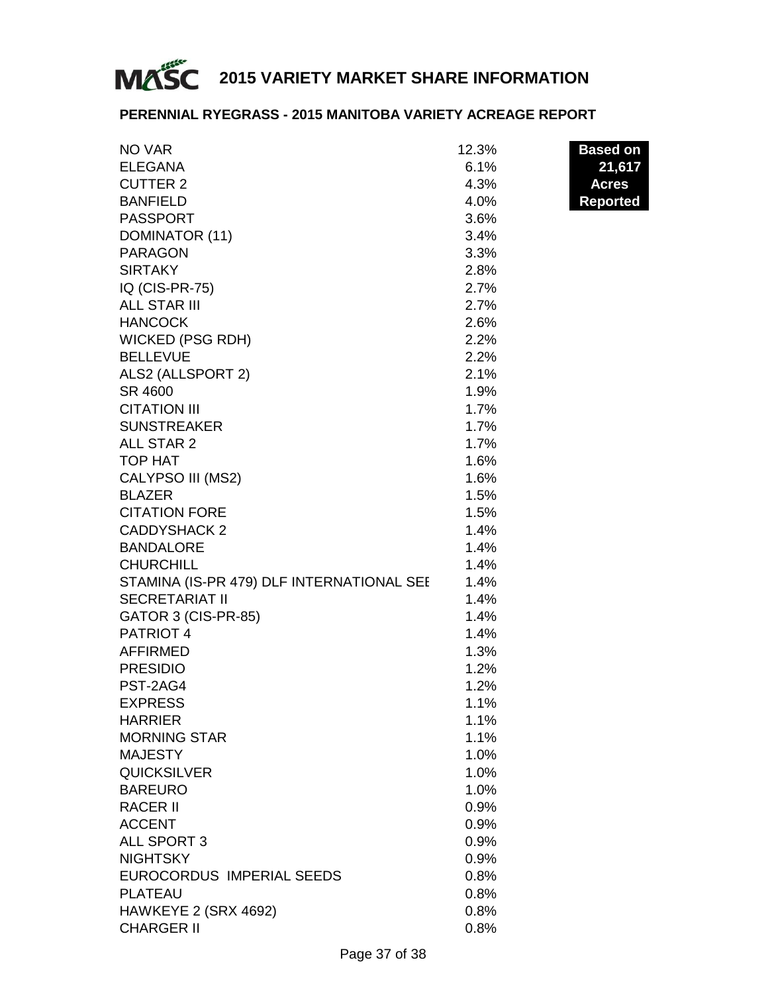

#### **PERENNIAL RYEGRASS - 2015 MANITOBA VARIETY ACREAGE REPORT**

| NO VAR                                                             | 12.3%        | <b>Based on</b> |
|--------------------------------------------------------------------|--------------|-----------------|
| <b>ELEGANA</b>                                                     | 6.1%         | 21,617          |
| <b>CUTTER 2</b>                                                    | 4.3%         | <b>Acres</b>    |
| <b>BANFIELD</b>                                                    | 4.0%         | <b>Reported</b> |
| <b>PASSPORT</b>                                                    | 3.6%         |                 |
| DOMINATOR (11)                                                     | 3.4%         |                 |
| <b>PARAGON</b>                                                     | 3.3%         |                 |
| <b>SIRTAKY</b>                                                     | 2.8%         |                 |
| IQ (CIS-PR-75)                                                     | 2.7%         |                 |
| <b>ALL STAR III</b>                                                | 2.7%         |                 |
| <b>HANCOCK</b>                                                     | 2.6%         |                 |
| <b>WICKED (PSG RDH)</b>                                            | 2.2%         |                 |
| <b>BELLEVUE</b>                                                    | 2.2%         |                 |
| ALS2 (ALLSPORT 2)                                                  | 2.1%         |                 |
| SR 4600                                                            | 1.9%         |                 |
| <b>CITATION III</b>                                                | 1.7%         |                 |
| <b>SUNSTREAKER</b>                                                 | 1.7%         |                 |
| ALL STAR 2                                                         | 1.7%         |                 |
| TOP HAT                                                            | 1.6%         |                 |
| CALYPSO III (MS2)                                                  | 1.6%         |                 |
| <b>BLAZER</b>                                                      | 1.5%         |                 |
| <b>CITATION FORE</b>                                               | 1.5%         |                 |
| <b>CADDYSHACK 2</b>                                                | 1.4%         |                 |
|                                                                    |              |                 |
| <b>BANDALORE</b>                                                   | 1.4%         |                 |
| <b>CHURCHILL</b>                                                   | 1.4%         |                 |
| STAMINA (IS-PR 479) DLF INTERNATIONAL SEE<br><b>SECRETARIAT II</b> | 1.4%         |                 |
|                                                                    | 1.4%<br>1.4% |                 |
| GATOR 3 (CIS-PR-85)<br>PATRIOT 4                                   | 1.4%         |                 |
| <b>AFFIRMED</b>                                                    | 1.3%         |                 |
| <b>PRESIDIO</b>                                                    | 1.2%         |                 |
| PST-2AG4                                                           | 1.2%         |                 |
| <b>EXPRESS</b>                                                     | 1.1%         |                 |
|                                                                    |              |                 |
| <b>HARRIER</b>                                                     | 1.1%         |                 |
| <b>MORNING STAR</b>                                                | 1.1%         |                 |
| <b>MAJESTY</b>                                                     | $1.0\%$      |                 |
| <b>QUICKSILVER</b>                                                 | 1.0%         |                 |
| <b>BAREURO</b>                                                     | 1.0%         |                 |
| <b>RACER II</b>                                                    | 0.9%         |                 |
| <b>ACCENT</b>                                                      | 0.9%         |                 |
| ALL SPORT 3                                                        | 0.9%         |                 |
| <b>NIGHTSKY</b>                                                    | 0.9%         |                 |
| EUROCORDUS IMPERIAL SEEDS                                          | 0.8%         |                 |
| <b>PLATEAU</b>                                                     | 0.8%         |                 |
| HAWKEYE 2 (SRX 4692)                                               | 0.8%         |                 |
| <b>CHARGER II</b>                                                  | 0.8%         |                 |